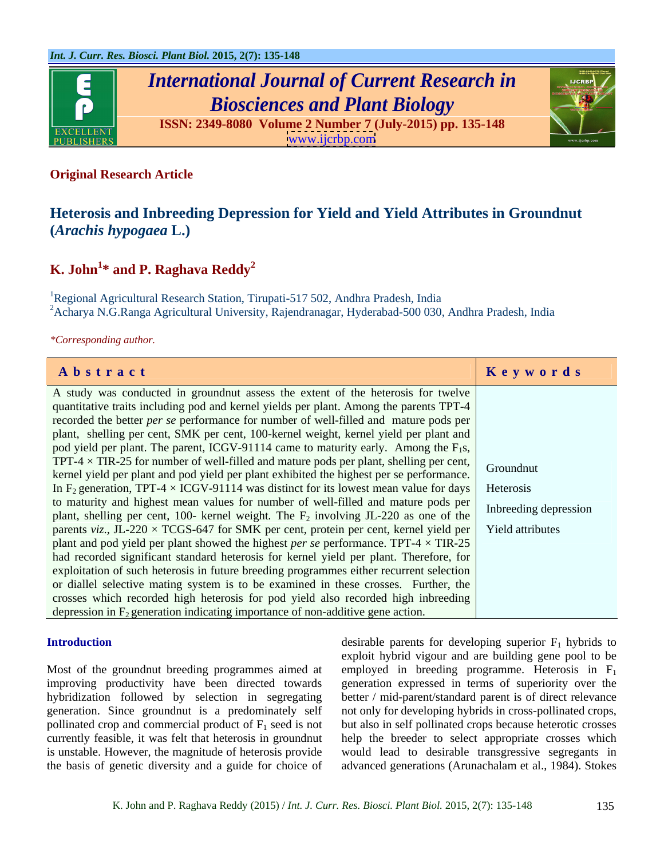

# *International Journal of Current Research in Biosciences and Plant Biology*





### **Original Research Article**

### **Heterosis and Inbreeding Depression for Yield and Yield Attributes in Groundnut (***Arachis hypogaea* **L.)**

## $\boldsymbol{\mathrm{K.}\text{ John}}^{1*}$  and  $\boldsymbol{\mathrm{P.}\text{ Raghava }\text{Reddy}^{2}}$

<sup>1</sup>Regional Agricultural Research Station, Tirupati-517 502, Andhra Pradesh, India  $2A$ charya N.G.Ranga Agricultural University, Rajendranagar, Hyderabad-500 030, Andhra Pradesh, India

*\*Corresponding author.*

| Abstract                                                                                                          | Keywords |
|-------------------------------------------------------------------------------------------------------------------|----------|
| A study was conducted in ground nut assess the extent of the heterosis for twelve                                 |          |
| quantitative traits including pod and kernel yields per plant. Among the parents TPT-4                            |          |
| recorded the better <i>per se</i> performance for number of well-filled and mature pods per                       |          |
| plant, shelling per cent, SMK per cent, 100-kernel weight, kernel yield per plant and                             |          |
| pod yield per plant. The parent, ICGV-91114 came to maturity early. Among the $F_1s$ ,                            |          |
| TPT-4 $\times$ TIR-25 for number of well-filled and mature pods per plant, shelling per cent, Groundnut           |          |
| kernel yield per plant and pod yield per plant exhibited the highest per se performance.                          |          |
| In F <sub>2</sub> generation, TPT-4 $\times$ ICGV-91114 was distinct for its lowest mean value for days Heterosis |          |
| to maturity and highest mean values for number of well-filled and mature pods per Inbreeding depression           |          |
| plant, shelling per cent, 100- kernel weight. The $F_2$ involving JL-220 as one of the                            |          |
| parents viz., JL-220 $\times$ TCGS-647 for SMK per cent, protein per cent, kernel yield per Yield attributes      |          |
| plant and pod yield per plant showed the highest <i>per se</i> performance. TPT-4 $\times$ TIR-25                 |          |
| had recorded significant standard heterosis for kernel yield per plant. Therefore, for                            |          |
| exploitation of such heterosis in future breeding programmes either recurrent selection                           |          |
| or diallel selective mating system is to be examined in these crosses. Further, the                               |          |
|                                                                                                                   |          |
| crosses which recorded high heterosis for pod yield also recorded high inbreeding                                 |          |
| depression in $F_2$ generation indicating importance of non-additive gene action.                                 |          |

**Introduction** desirable parents for developing superior F<sub>1</sub> hybrids to Most of the groundnut breeding programmes aimed at employed in breeding programme. Heterosis in  $F_1$ improving productivity have been directed towards generation expressed in terms of superiority overthe hybridization followed by selection in segregating better / mid-parent/standard parent is of direct relevance generation. Since groundnut is a predominately self not only for developing hybrids in cross-pollinated crops, pollinated crop and commercial product of  $F_1$  seed is not but also in self pollinated crops because heterotic crosses currently feasible, it was felt that heterosis in groundnut help the breeder to select appropriate crosses which is unstable. However, the magnitude of heterosis provide would lead to desirable transgressive segregants in the basis of genetic diversity and a guide for choice of advanced generations (Arunachalam et al., 1984). Stokes exploit hybrid vigour and are building gene pool to be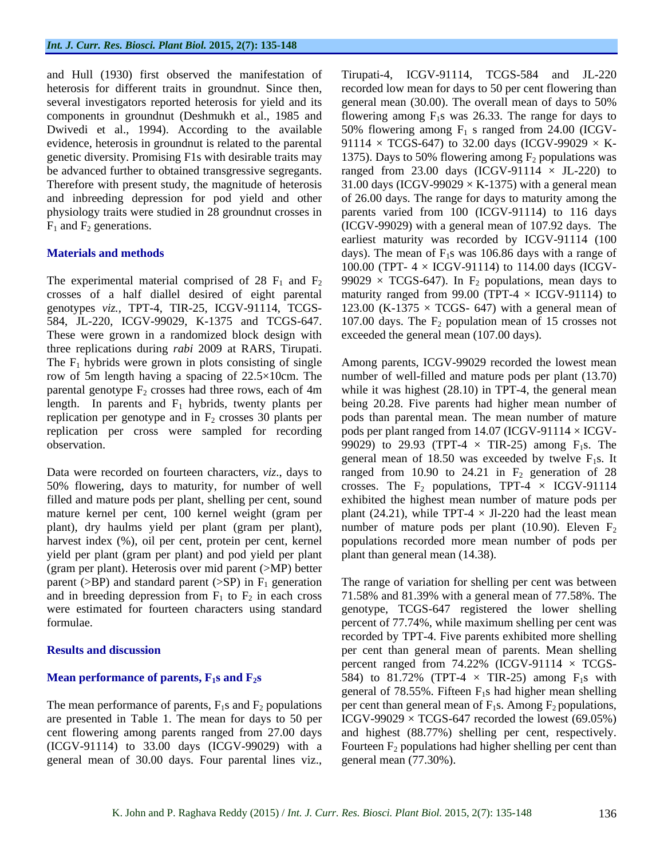several investigators reported heterosis for yield and its

genotypes *viz.,* TPT-4, TIR-25, ICGV-91114, TCGS- These were grown in a randomized block design with three replications during *rabi* 2009 at RARS, Tirupati. The  $F_1$  hybrids were grown in plots consisting of single row of 5m length having a spacing of 22.5×10cm. The parental genotype  $F_2$  crosses had three rows, each of 4m replication per cross were sampled for recording

Data were recorded on fourteen characters, *viz*., days to yield per plant (gram per plant) and pod yield per plant (gram per plant). Heterosis over mid parent (>MP) better parent ( $>BP$ ) and standard parent ( $>SP$ ) in  $F_1$  generation

general mean of 30.00 days. Four parental lines viz.,

and Hull (1930) first observed the manifestation of Tirupati-4, ICGV-91114, TCGS-584 and JL-220 heterosis for different traits in groundnut. Since then, recorded low mean for days to 50 per cent flowering than components in groundnut (Deshmukh et al., 1985 and flowering among  $F_1$ s was 26.33. The range for days to Dwivedi et al., 1994). According to the available 50% flowering among  $F_1$  s ranged from 24.00 (ICGVevidence, heterosis in groundnut is related to the parental  $91114 \times TCGS-647$  to 32.00 days (ICGV-99029  $\times$  Kgenetic diversity. Promising F1s with desirable traits may  $1375$ ). Days to 50% flowering among  $F_2$  populations was be advanced further to obtained transgressive segregants. ranged from 23.00 days (ICGV-91114  $\times$  JL-220) to Therefore with present study, the magnitude of heterosis  $31.00 \text{ days}$  (ICGV-99029  $\times$  K-1375) with a general mean and inbreeding depression for pod yield and other of 26.00 days. The range for days to maturity among the physiology traits were studied in 28 groundnut crosses in parents varied from 100 (ICGV-91114) to 116 days  $F_1$  and  $F_2$  generations. (ICGV-99029) with a general mean of 107.92 days. The **Materials and methods** days). The mean of F<sub>1</sub>s was 106.86 days with a range of The experimental material comprised of 28  $F_1$  and  $F_2$  99029  $\times$  TCGS-647). In  $F_2$  populations, mean days to crosses of a half diallel desired of eight parental maturity ranged from 99.00 (TPT-4 × ICGV-91114) to 584, JL-220, ICGV-99029, K-1375 and TCGS-647. 107.00 days. The  $F_2$  population mean of 15 crosses not generalmean (30.00). The overall mean of days to 50% earliest maturity was recorded by ICGV-91114 (100 100.00 (TPT- 4 × ICGV-91114) to 114.00 days (ICGV- 123.00 (K-1375  $\times$  TCGS- 647) with a general mean of exceeded the general mean (107.00 days).

row of 5m length having a spacing of 22.5×10cm. The number of well-filled and mature pods per plant (13.70) length. In parents and  $F_1$  hybrids, twenty plants per being 20.28. Five parents had higher mean number of replication per genotype and in  $F_2$  crosses 30 plants per pods than parental mean. The mean number of mature observation.  $99029$  to 29.93 (TPT-4  $\times$  TIR-25) among F<sub>1</sub>s. The 50% flowering, days to maturity, for number of well crosses. The  $F_2$  populations, TPT-4  $\times$  ICGV-91114 filled and mature pods per plant, shelling per cent, sound exhibited the highest mean number of mature pods per mature kernel per cent, 100 kernel weight (gram per plant (24.21), while TPT-4  $\times$  Jl-220 had the least mean plant), dry haulms yield per plant (gram per plant), number of mature pods per plant (10.90). Eleven  $F_2$ harvest index (%), oil per cent, protein per cent, kernel populations recorded more mean number of pods per Among parents, ICGV-99029 recorded the lowest mean while it was highest  $(28.10)$  in TPT-4, the general mean pods per plant ranged from 14.07 (ICGV-91114  $\times$  ICGVgeneral mean of 18.50 was exceeded by twelve  $F_1s$ . It ranged from 10.90 to 24.21 in  $F<sub>2</sub>$  generation of 28 plant than general mean (14.38).

and in breeding depression from  $F_1$  to  $F_2$  in each cross 71.58% and 81.39% with a general mean of 77.58%. The were estimated for fourteen characters using standard genotype, TCGS-647 registered the lower shelling formulae. percent of 77.74%, while maximum shelling per cent was **Results and discussion per cent than general mean of parents. Mean shelling Mean performance of parents,**  $\mathbf{F}_1$ **s and**  $\mathbf{F}_2$ **s** 584) to 81.72% (TPT-4  $\times$  TIR-25) among  $\mathbf{F}_1$ s with The mean performance of parents,  $F_1s$  and  $F_2$  populations per cent than general mean of  $F_1s$ . Among  $F_2$  populations, are presented in Table 1. The mean for days to 50 per ICGV-99029 × TCGS-647 recorded the lowest (69.05%) cent flowering among parents ranged from 27.00 days and highest (88.77%) shelling per cent, respectively. (ICGV-91114) to 33.00 days (ICGV-99029) with a Fourteen  $F_2$  populations had higher shelling per cent than The range of variation for shelling per cent was between recorded by TPT-4. Five parents exhibited more shelling percent ranged from  $74.22\%$  (ICGV-91114  $\times$  TCGSgeneral of 78.55%. Fifteen  $F_1s$  had higher mean shelling general mean (77.30%).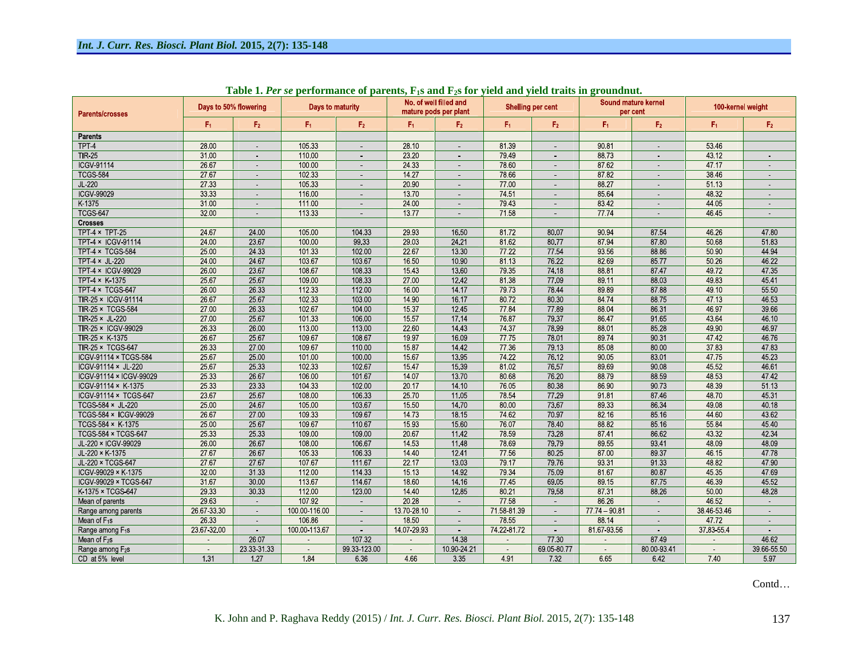| Parents/crosses              | Days to 50% flowering |                | Days to maturity |                |                | No. of well filled and<br>mature pods per plant | <b>Shelling per cent</b> |                |                | Sound mature kernel<br>per cent | 100-kernel weight |                |
|------------------------------|-----------------------|----------------|------------------|----------------|----------------|-------------------------------------------------|--------------------------|----------------|----------------|---------------------------------|-------------------|----------------|
|                              | F <sub>1</sub>        | F <sub>2</sub> | F <sub>1</sub>   | F <sub>2</sub> | F <sub>1</sub> | F <sub>2</sub>                                  | F <sub>1</sub>           | F <sub>2</sub> | F <sub>1</sub> | F <sub>2</sub>                  | F <sub>1</sub>    | F <sub>2</sub> |
| <b>Parents</b>               |                       |                |                  |                |                |                                                 |                          |                |                |                                 |                   |                |
| TPT <sub>4</sub>             | 28.00                 |                | 105 33           |                | 28.10          |                                                 | 81 39                    |                | 90 81          |                                 | 53.46             |                |
| <b>TIR 25</b>                | 31.00                 | $\sim$         | 110.00           |                | 23.20          | ä,                                              | 7949                     |                | 8873           | $\sim$                          | 43 12             |                |
| <b>ICGV-91114</b>            | 26.67                 | х.             | 100.00           |                | 24 33          | ä,                                              | 78.60                    |                | 87 62          | $\sim$                          | 47.17             |                |
| <b>TCGS 584</b>              | 27.67                 | $\sim$         | 102 33           | $\sim$         | 14.27          | ÷.                                              | 78.66                    | ä,             | 8782           | $\sim$                          | 38 46             |                |
| JL-220                       | 27.33                 | х.             | 105.33           | х.             | 20.90          | ÷.                                              | 77.00                    | ÷              | 88.27          | $\sim$                          | 5113              | ÷.             |
| <b>ICGV-99029</b>            | 33 33                 |                | 116.00           |                | 13.70          |                                                 | 74.51                    |                | 85 64          |                                 | 48 32             |                |
| K 1375                       | 31.00                 |                | 111.00           | $\sim$         | 24.00          | ä,                                              | 79.43                    | ä,             | 83.42          | $\sim$                          | 44 05             | $\sim$         |
| <b>TCGS 647</b>              | 32.00                 |                | 113 33           |                | 13.77          |                                                 | 71.58                    |                | 7774           |                                 | 46 45             |                |
| <b>Crosses</b>               |                       |                |                  |                |                |                                                 |                          |                |                |                                 |                   |                |
| TPT $4 \times$ TPT 25        | 24 67                 | 24.00          | 105.00           | 104.33         | 29 93          | 16.50                                           | 8172                     | 80.07          | 90 94          | 87 54                           | 46.26             | 47.80          |
| TPT-4 × ICGV-91114           | 24.00                 | 23.67          | 100.00           | 99 33          | 29.03          | 24 21                                           | 81 62                    | 80,77          | 87 94          | 87.80                           | 50.68             | 5183           |
| TPT 4 × TCGS 584             | 25.00                 | 24 33          | 101 33           | 102.00         | 22.67          | 13.30                                           | 77.22                    | 77.54          | 93 56          | 88.86                           | 50.90             | 44 94          |
| TPT $4 \times$ JL-220        | 24.00                 | 24.67          | 103.67           | 103.67         | 16.50          | 10.90                                           | 81.13                    | 76.22          | 8269           | 8577                            | 50.26             | 46.22          |
| <b>TPT 4 × ICGV 99029</b>    | 26.00                 | 23.67          | 108.67           | 108.33         | 1543           | 13.60                                           | 79 35                    | 74.18          | 88.81          | 8747                            | 4972              | 47 35          |
| TPT 4 × K-1375               | 25.67                 | 25.67          | 109.00           | 108.33         | 27.00          | 12.42                                           | 81.38                    | 77.09          | 89 11          | 88.03                           | 4983              | 4541           |
| TPT 4 × TCGS 647             | 26.00                 | 26 33          | 112.33           | 112.00         | 16.00          | 14.17                                           | 7973                     | 7844           | 8989           | 87.88                           | 49 10             | 55.50          |
| TIR 25 x ICGV 91114          | 26.67                 | 25.67          | 102.33           | 103.00         | 14.90          | 16.17                                           | 8072                     | 80.30          | 8474           | 88.75                           | 47.13             | 46.53          |
| TIR-25 × TCGS-584            | 27.00                 | 26.33          | 102.67           | 104.00         | 15.37          | 12.45                                           | 7784                     | 77.89          | 88 04          | 86.31                           | 46 97             | 39.66          |
| TIR 25 × JL 220              | 27.00                 | 25.67          | 101.33           | 106.00         | 15.57          | 17.14                                           | 76.87                    | 79.37          | 8647           | 91 65                           | 43.64             | 46.10          |
| TIR-25 × ICGV-99029          | 26.33                 | 26.00          | 113.00           | 113.00         | 22.60          | 14.43                                           | 74.37                    | 78.99          | 8801           | 85.28                           | 49 90             | 46.97          |
| TIR 25 × K 1375              | 26.67                 | 25,67          | 109 67           | 108.67         | 19 97          | 16.09                                           | 7775                     | 78.01          | 8974           | 9031                            | 4742              | 46.76          |
| TIR 25 × TCGS 647            | 26.33                 | 27.00          | 109.67           | 110.00         | 15.87          | 14.42                                           | 77 36                    | 79.13          | 85.08          | 80.00                           | 3783              | 47.83          |
| ICGV-91114 × TCGS-584        | 25.67                 | 25.00          | 101.00           | 100.00         | 15.67          | 13.95                                           | 74 22                    | 76 12          | 90 05          | 83.01                           | 4775              | 45 23          |
| ICGV-91114 × JL-220          | 25.67                 | 25.33          | 102 33           | 102.67         | 15.47          | 15.39                                           | 81.02                    | 76.57          | 8969           | 90.08                           | 45.52             | 46.61          |
| ICGV-91114 × ICGV-99029      | 25.33                 | 26.67          | 106.00           | 101.67         | 14.07          | 13.70                                           | 80.68                    | 76 20          | 8879           | 88.59                           | 48 53             | 4742           |
| ICGV-91114 × K-1375          | 25 33                 | 23,33          | 104 33           | 102.00         | 20.17          | 14 10                                           | 76.05                    | 80 38          | 86 90          | 90.73                           | 48 39             | 51.13          |
| ICGV-91114 × TCGS-647        | 23.67                 | 25.67          | 108.00           | 106 33         | 25.70          | 11.05                                           | 7854                     | 77 29          | 9181           | 87.46                           | 4870              | 45.31          |
| <b>TCGS 584 × JL 220</b>     | 25.00                 | 24.67          | 105.00           | 103.67         | 15.50          | 14.70                                           | 80.00                    | 7367           | 89 33          | 86 34                           | 49.08             | 40.18          |
| TCGS-584 × ICGV-99029        | 26.67                 | 27.00          | 109 33           | 109.67         | 14.73          | 18.15                                           | 74 62                    | 70.97          | 82 16          | 85.16                           | 44 60             | 43.62          |
| TCGS 584 × K-1375            | 25.00                 | 25.67          | 109.67           | 110.67         | 15.93          | 15.60                                           | 76.07                    | 78.40          | 88 82          | 85.16                           | 55 84             | 45.40          |
| <b>TCGS 584 × TCGS 647</b>   | 25 33                 | 25 33          | 109.00           | 109.00         | 20.67          | 11 42                                           | 78.59                    | 73 28          | 8741           | 86.62                           | 43.32             | 42 34          |
| JL 220 × ICGV 99029          | 26.00                 | 26.67          | 108.00           | 106.67         | 14.53          | 11.48                                           | 78.69                    | 79.79          | 89 55          | 93.41                           | 48.09             | 48.09          |
| JL 220 × K 1375              | 27.67                 | 26.67          | 105 33           | 106.33         | 14 40          | 12.41                                           | 77 56                    | 80.25          | 87.00          | 89.37                           | 46.15             | 47.78          |
| JL 220 × TCGS 647            | 27.67                 | 27.67          | 107 67           | 111 67         | 22.17          | 13.03                                           | 79.17                    | 79.76          | 93 31          | 91 33                           | 48.82             | 47.90          |
| ICGV-99029 × K-1375          | 32.00                 | 31 33          | 112.00           | 114 33         | 15.13          | 14.92                                           | 79 34                    | 75.09          | 81.67          | 80.87                           | 45 35             | 47.69          |
| ICGV-99029 × TCGS-647        | 31.67                 | 30.00          | 113 67           | 114 67         | 18.60          | 14.16                                           | 7745                     | 69 05          | 89 15          | 87.75                           | 46 39             | 45.52          |
| K-1375 × TCGS-647            | 29 33                 | 30 33          | 112.00           | 123.00         | 14.40          | 12.85                                           | 80.21                    | 79.58          | 87 31          | 88.26                           | 50.00             | 48.28          |
| Mean of parents              | 29.63                 |                | 107.92           |                | 20.28          | $\sim$                                          | 77.58                    |                | 86 26          | $\sim$                          | 46 52             |                |
| Range among parents          | 26 67 33 30           | $\sim$         | 100.00 116.00    |                | 13 70 28 10    | $\sim$                                          | 71 58 81 39              | ä,             | 77 74 - 90 81  | $\sim$                          | 38 46 53 46       |                |
| Mean of $F_1s$               | 26.33                 | $\sim$         | 106.86           | $\sim$         | 1850           | $\sim$                                          | 78.55                    | ÷.             | 88.14          | $\sim$                          | 4772              |                |
| Range among F <sub>1</sub> s | 23 67 32 00           | $\sim$         | 100 00 113 67    |                | 14 07 29 93    | $\sim$                                          | 74 22 81 72              |                | 81 67 93 56    |                                 | 37 83 55 4        |                |
| Mean of $F_2s$               |                       | 26 07          |                  | 107.32         |                | 14.38                                           |                          | 77 30          |                | 87.49                           | $\sim$            | 46.62          |
| Range among F <sub>2</sub> s | $\sim$                | 23 33 31 33    | $\sim$           | 99 33 123 00   | $\sim$         | 10 90 24 21                                     | $\sim$                   | 69 05 80 77    | $\sim$         | 80.00-93.41                     | $\alpha$          | 39.66-55.50    |
| CD at 5% level               | 1.31                  | 1.27           | 1.84             | 636            | 466            | 3.35                                            | 491                      | 7.32           | 6.65           | 6.42                            | 7.40              | 5.97           |

Table 1. Per se performance of parents,  $F_1s$  and  $F_2s$  for yield and yield traits in groundnut.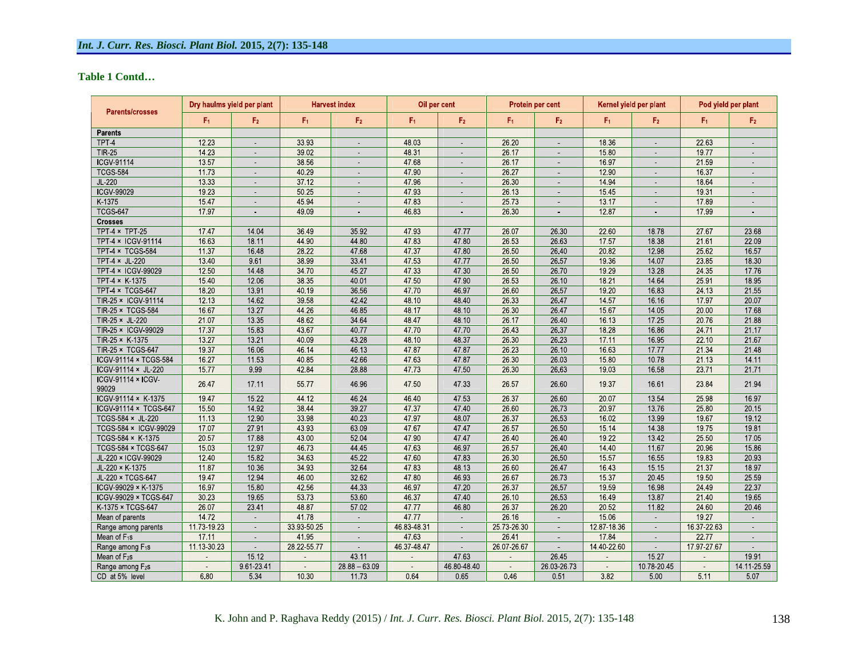### **Table 1 Contd**

| <b>Parents/crosses</b>       | Dry haulms yield per plant |                | <b>Harvest index</b> |                     | Oil per cent        |                | Protein per cent |                             | Kernel yield per plant |                | Pod yield per plant |                             |
|------------------------------|----------------------------|----------------|----------------------|---------------------|---------------------|----------------|------------------|-----------------------------|------------------------|----------------|---------------------|-----------------------------|
|                              | F <sub>1</sub>             | F <sub>2</sub> | F <sub>1</sub>       | F <sub>2</sub>      | F <sub>1</sub>      | F <sub>2</sub> | F <sub>1</sub>   | F <sub>2</sub>              | F <sub>1</sub>         | F <sub>2</sub> | Fi.                 | F <sub>2</sub>              |
| <b>Parents</b>               |                            |                |                      |                     |                     |                |                  |                             |                        |                |                     |                             |
| TPT-4                        | 12.23                      |                | 33 93                |                     | 48 03               |                | 26.20            |                             | 18 36                  |                | 22 63               |                             |
| <b>TIR 25</b>                | 14.23                      | $\sim$         | 39.02                | ц.                  | 48 31               | ц.             | 26.17            | $\sim$                      | 15.80                  |                | 19.77               |                             |
| <b>ICGV-91114</b>            | 13.57                      |                | 38.56                |                     | 47.68               |                | 26 17            |                             | 16.97                  |                | 21.59               |                             |
| <b>TCGS 584</b>              | 11.73                      | ÷.             | 40.29                | ÷.                  | 47.90               | ÷.             | 26.27            | ÷.                          | 12 90                  |                | 16 37               | ÷.                          |
| JL-220                       | 13 33                      | ÷.             | 37.12                | ц.                  | 47.96               |                | 26.30            | ÷.                          | 14 94                  |                | 18.64               | ÷.                          |
| <b>ICGV 99029</b>            | 19 23                      | ÷.             | 50.25                | $\sim$              | 47 93               | ÷.             | 26 13            | $\sim$                      | 15 45                  |                | 19 31               | $\mathcal{L}^{\mathcal{L}}$ |
| K-1375                       | 15.47                      | ÷.             | 45 94                | ä,                  | 47.83               | ÷.             | 25.73            | ÷.                          | 13.17                  |                | 17.89               | ÷.                          |
| <b>TCGS 647</b>              | 1797                       | ä,             | 49.09                | ÷.                  | 46.83               |                | 26.30            | ÷.                          | 1287                   |                | 17.99               | ÷.                          |
| <b>Crosses</b>               |                            |                |                      |                     |                     |                |                  |                             |                        |                |                     |                             |
| TPT $4 \times$ TPT 25        | 1747                       | 14 04          | 36 49                | 35 92               | 47.93               | 47.77          | 26.07            | 26 30                       | 22 60                  | 1878           | 27 67               | 23,68                       |
| TPT 4 × ICGV-91114           | 16 63                      | 18.11          | 44.90                | 44.80               | 4783                | 47 80          | 26.53            | 26 63                       | 17 57                  | 18.38          | 21.61               | 22.09                       |
| TPT-4 × TCGS-584             | 11 37                      | 16.48          | 28.22                | 47 68               | 47.37               | 4780           | 26.50            | 26.40                       | 2082                   | 12.98          | 25.62               | 16 57                       |
| <b>TPT 4 × JL 220</b>        | 13.40                      | 9.61           | 38.99                | 33.41               | 47.53               | 47.77          | 26.50            | 26.57                       | 19.36                  | 14.07          | 23.85               | 18.30                       |
| TPT-4 × ICGV-99029           | 12.50                      | 14.48          | 34 70                | 45.27               | 47.33               | 47 30          | 26.50            | 26.70                       | 19.29                  | 13.28          | 24.35               | 17.76                       |
| TPT-4 × K-1375               | 15 40                      | 12.06          | 38.35                | 40.01               | 47.50               | 47 90          | 26.53            | 26.10                       | 18.21                  | 14.64          | 25 91               | 18.95                       |
| TPT 4 × TCGS 647             | 18.20                      | 1391           | 40.19                | 36.56               | 47.70               | 46.97          | 26.60            | 26.57                       | 19.20                  | 16.83          | 24.13               | 21.55                       |
| TIR 25 × ICGV 91114          | 12.13                      | 14 62          | 39 58                | 42.42               | 48.10               | 48 40          | 26 33            | 26 47                       | 14.57                  | 16.16          | 17 97               | 20 07                       |
| TIR-25 × TCGS-584            | 16.67                      | 13.27          | 44.26                | 46.85               | 48.17               | 48 10          | 26.30            | 26.47                       | 15.67                  | 14.05          | 20.00               | 17.68                       |
| TIR 25 × JL 220              | 21.07                      | 13.35          | 48 62                | 34 64               | 48 47               | 48.10          | 26.17            | 26.40                       | 16.13                  | 17.25          | 20.76               | 21.88                       |
| TIR-25 × ICGV-99029          | 17.37                      | 15.83          | 43.67                | 40.77               | 47.70               | 47.70          | 26.43            | 26.37                       | 18.28                  | 16.86          | 24.71               | 21.17                       |
| TIR-25 × K-1375              | 13.27                      | 13.21          | 40.09                | 43 28               | 48.10               | 48 37          | 26,30            | 26 23                       | 17.11                  | 16 95          | 22 10               | 21.67                       |
| TIR-25 × TCGS-647            | 19.37                      | 16.06          | 46.14                | 46.13               | 47.87               | 47.87          | 26.23            | 26.10                       | 16.63                  | 17.77          | 21.34               | 21.48                       |
| ICGV-91114 × TCGS-584        | 16.27                      | 11.53          | 40.85                | 42.66               | 47.63               | 47.87          | 26.30            | 26.03                       | 15.80                  | 10.78          | 21.13               | 14.11                       |
| ICGV-91114 × JL-220          | 1577                       | 9.99           | 42.84                | 28.88               | 47.73               | 47.50          | 26 30            | 26.63                       | 19.03                  | 16.58          | 2371                | 21.71                       |
| ICGV-91114 × ICGV-           |                            |                |                      |                     |                     |                |                  |                             |                        |                |                     |                             |
| 99029                        | 26 47                      | 17.11          | 55 77                | 46.96               | 47.50               | 47 33          | 26.57            | 26.60                       | 19 37                  | 16.61          | 23.84               | 21.94                       |
| ICGV-91114 × K-1375          | 19.47                      | 15.22          | 44.12                | 46 24               | 46 40               | 47.53          | 26.37            | 26.60                       | 20 07                  | 13.54          | 25 98               | 16.97                       |
| ICGV-91114 × TCGS-647        | 15.50                      | 14.92          | 38.44                | 39.27               | 47.37               | 47.40          | 26.60            | 26.73                       | 20.97                  | 13.76          | 25.80               | 20.15                       |
| TCGS 584 × JL 220            | 11.13                      | 12.90          | 33.98                | 40.23               | 47.97               | 48.07          | 26.37            | 26.53                       | 16.02                  | 13 99          | 19.67               | 19.12                       |
| TCGS-584 × ICGV-99029        | 17.07                      | 27.91          | 43 93                | 63.09               | 47.67               | 47.47          | 26.57            | 26.50                       | 15.14                  | 14.38          | 19.75               | 19.81                       |
| TCGS-584 × K-1375            | 20.57                      | 17.88          | 43.00                | 52.04               | 47.90               | 47.47          | 26.40            | 26.40                       | 19.22                  | 13.42          | 25.50               | 17.05                       |
| <b>TCGS-584 × TCGS-647</b>   | 15.03                      | 12.97          | 46.73                | 44.45               | 47.63               | 46.97          | 26.57            | 26.40                       | 14.40                  | 11.67          | 20.96               | 15.86                       |
| JL 220 × ICGV 99029          | 12.40                      | 1582           | 34.63                | 45 22               | 47 60               | 47.83          | 26.30            | 26.50                       | 15.57                  | 16.55          | 1983                | 20.93                       |
| JL-220 × K-1375              | 11.87                      | 10.36          | 34.93                | 32 64               | 47.83               | 48 13          | 26.60            | 26 47                       | 16.43                  | 15 15          | 21.37               | 18.97                       |
| JL 220 × TCGS 647            | 19.47                      | 12.94          | 46.00                | 32.62               | 47.80               | 46.93          | 26.67            | 26.73                       | 15.37                  | 20.45          | 19.50               | 25.59                       |
| ICGV-99029 × K-1375          | 16.97                      | 15.80          | 42 56                | 44 33               | 46.97               | 47.20          | 26 37            | 26.57                       | 19.59                  | 16.98          | 24 49               | 22.37                       |
| ICGV-99029 × TCGS-647        | 30.23                      | 19.65          | 5373                 | 53.60               | 46.37               | 47 40          | 26.10            | 26 53                       | 16.49                  | 13.87          | 21.40               | 19.65                       |
| K-1375 × TCGS-647            | 26.07                      | 23.41          | 48.87                | 57.02               | 47.77               | 46.80          | 26.37            | 26.20                       | 20.52                  | 11.82          | 24.60               | 20.46                       |
| Mean of parents              | 14.72                      | $\sim$         | 41.78                | $\sim$              | 47.77               | $\sim$         | 26.16            | $\mathcal{L}_{\mathcal{A}}$ | 15.06                  |                | 19.27               | $\mathcal{L}_{\mathcal{A}}$ |
| Range among parents          | 11 73 19 23                | $\sim$         | 33 93 50 25          | $\bar{\phantom{a}}$ | 46 83 48 31         | $\sim$         | 25 73 26 30      | $\alpha$                    | 12 87 18 36            | $\bar{a}$      | 16 37 22 63         | $\sim$                      |
| Mean of $F_1s$               | 17.11                      | $\sim$         | 41.95                | $\bar{\phantom{a}}$ | 47 63               | $\alpha$       | 26.41            | $\sim$                      | 17.84                  |                | 22.77               | ä,                          |
| Range among F <sub>1</sub> s | 11 13 30 23                | ä,             | 28 22 55 77          |                     | 46 37 48 47         |                | 26.07.26.67      | $\sim$                      | 14 40 22 60            |                | 17 97 27 67         |                             |
| Mean of $F_2s$               |                            | 15.12          |                      | 43.11               |                     | 47.63          |                  | 26.45                       | ÷,                     | 15.27          |                     | 19.91                       |
| Range among F <sub>2</sub> s |                            | 9 61 23 41     |                      | $28.88 - 63.09$     | $\bar{\phantom{a}}$ | 46 80 48 40    |                  | 26 03 26 73                 |                        | 10 78 20 45    |                     | 14 11 25 59                 |
| CD at 5% level               | 680                        | 5 3 4          | 10.30                | 11.73               | 0.64                | 0.65           | 0.46             | 0.51                        | 3.82                   | 5.00           | 5 1 1               | 5.07                        |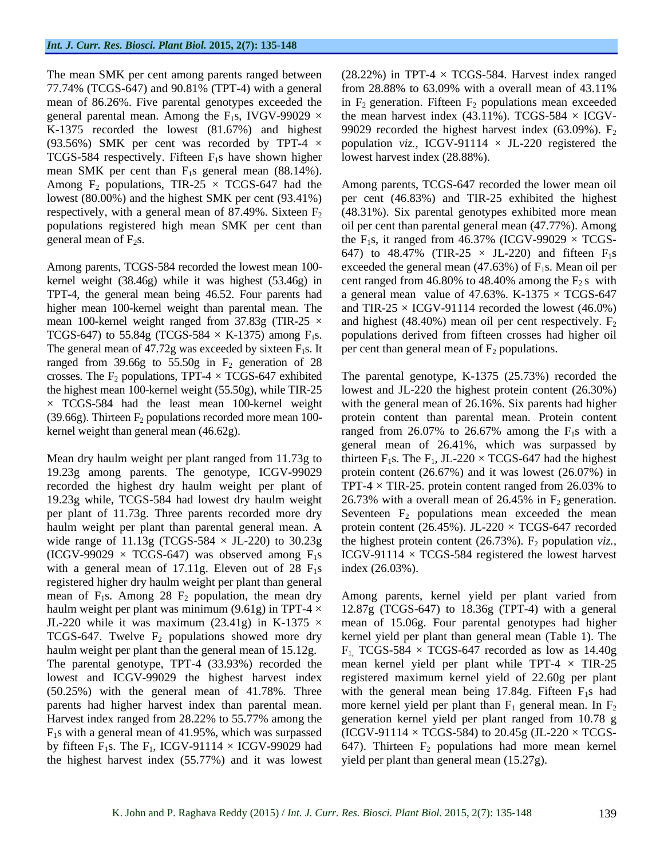TCGS-584 respectively. Fifteen  $F_1s$  have shown higher mean SMK per cent than  $F_1s$  general mean (88.14%).<br>Among  $F_2$  populations, TIR-25  $\times$  TCGS-647 had the

The general mean of  $47.72g$  was exceeded by sixteen  $F_1s$ . It ranged from 39.66g to 55.50g in  $F_2$  generation of 28 crosses. The  $F_2$  populations, TPT-4  $\times$  TCGS-647 exhibited

Mean dry haulm weight per plant ranged from 11.73g to 19.23g among parents. The genotype, ICGV-99029 with a general mean of 17.11g. Eleven out of  $28 \text{ F}_1\text{s}$ registered higher dry haulm weight per plant than general mean of  $F_1$ s. Among 28  $F_2$  population, the mean dry Among parents, kernel yield per plant varied from haulm weight per plant was minimum (9.61g) in TPT-4  $\times$  12.87g (TCGS-647) to 18.36g (TPT-4) with a general JL-220 while it was maximum (23.41g) in K-1375  $\times$  mean of 15.06g. Four parental genotypes had higher TCGS-647. Twelve  $F_2$  populations showed more dry kernel yield per plant than general mean (Table 1). The haulm weight per plant than the general mean of 15.12g. The parental genotype, TPT-4 (33.93%) recorded the mean kernel yield per plant while TPT-4 × TIR-25 lowest and ICGV-99029 the highest harvest index registered maximum kernel yield of 22.60g per plant  $(50.25%)$  with the general mean of 41.78%. Three with the general mean being 17.84g. Fifteen  $F_1s$  had parents had higher harvest index than parental mean. more kernel yield per plant than  $F_1$  general mean. In  $F_2$ Harvest index ranged from 28.22% to 55.77% among the generation kernel yield per plant ranged from 10.78 g  $F_1$ s with a general mean of 41.95%, which was surpassed by fifteen  $F_1s$ . The  $F_1$ , ICGV-91114  $\times$  ICGV-99029 had the highest harvest index (55.77%) and it was lowest

The mean SMK per cent among parents ranged between (28.22%) in TPT-4 × TCGS-584. Harvest index ranged 77.74% (TCGS-647) and 90.81% (TPT-4) with a general from 28.88% to 63.09% with a overall mean of 43.11% mean of 86.26%. Five parental genotypes exceeded the in  $F_2$  generation. Fifteen  $F_2$  populations mean exceeded general parental mean. Among the  $F_1s$ , IVGV-99029  $\times$  the mean harvest index (43.11%). TCGS-584  $\times$  ICGV-K-1375 recorded the lowest (81.67%) and highest 99029 recorded the highest harvest index (63.09%).  $F_2$ (93.56%) SMK per cent was recorded by TPT-4  $\times$  population *viz.*, ICGV-91114  $\times$  JL-220 registered the lowest harvest index (28.88%).

Among  $F_2$  populations, TIR-25  $\times$  TCGS-647 had the Among parents, TCGS-647 recorded the lower mean oil lowest (80.00%) and the highest SMK per cent (93.41%) per cent (46.83%) and TIR-25 exhibited the highest respectively, with a general mean of 87.49%. Sixteen  $F_2$  (48.31%). Six parental genotypes exhibited more mean populations registered high mean SMK per cent than oil per cent than parental general mean (47.77%). Among general mean of  $F_2$ s.  $\qquad \qquad$  the  $F_1$ s, it ranged from 46.37% (ICGV-99029  $\times$  TCGS-Among parents, TCGS-584 recorded the lowest mean  $100-$  exceeded the general mean  $(47.63%)$  of  $F_1s$ . Mean oil per kernel weight (38.46g) while it was highest (53.46g) in cent ranged from 46.80% to 48.40% among the  $F_2$  s with TPT-4, the general mean being 46.52. Four parents had a general mean value of 47.63%. K-1375  $\times$  TCGS-647 higher mean 100-kernel weight than parental mean. The and TIR-25  $\times$  ICGV-91114 recorded the lowest (46.0%) mean 100-kernel weight ranged from 37.83g (TIR-25  $\times$  and highest (48.40%) mean oil per cent respectively.  $F_2$ TCGS-647) to 55.84g (TCGS-584  $\times$  K-1375) among  $F_1s$ . populations derived from fifteen crosses had higher oil 647) to 48.47% (TIR-25  $\times$  JL-220) and fifteen  $F_1s$ per cent than general mean of  $F_2$  populations.

crosses. The  $F_2$  populations, TPT-4  $\times$  TCGS-647 exhibited The parental genotype, K-1375 (25.73%) recorded the the highest mean 100-kernel weight (55.50g), while TIR-25 lowest and JL-220 the highest protein content (26.30%)  $\times$  TCGS-584 had the least mean 100-kernel weight with the general mean of 26.16%. Six parents had higher (39.66g). Thirteen  $F_2$  populations recorded more mean 100- protein content than parental mean. Protein content kernel weight than general mean  $(46.62g)$ . The ranged from 26.07% to 26.67% among the  $F_1s$  with a recorded the highest dry haulm weight per plant of TPT-4 × TIR-25. protein content ranged from 26.03% to 19.23g while, TCGS-584 had lowest dry haulm weight  $26.73\%$  with a overall mean of 26.45% in  $F_2$  generation. per plant of 11.73g. Three parents recorded more dry Seventeen  $F_2$  populations mean exceeded the mean haulm weight per plant than parental general mean. A protein content (26.45%). JL-220 × TCGS-647 recorded wide range of  $11.13g$  (TCGS-584  $\times$  JL-220) to  $30.23g$  the highest protein content (26.73%).  $F_2$  population *viz.*, (ICGV-99029  $\times$  TCGS-647) was observed among  $F_1s$  ICGV-91114  $\times$  TCGS-584 registered the lowest harvest general mean of 26.41%, which was surpassed by thirteen  $F_1s$ . The  $F_1$ , JL-220  $\times$  TCGS-647 had the highest protein content (26.67%) and it was lowest (26.07%) in index (26.03%).

> $F_1$  TCGS-584  $\times$  TCGS-647 recorded as low as 14.40g (ICGV-91114  $\times$  TCGS-584) to 20.45g (JL-220  $\times$  TCGS-647). Thirteen  $F_2$  populations had more mean kernel yield per plant than general mean (15.27g).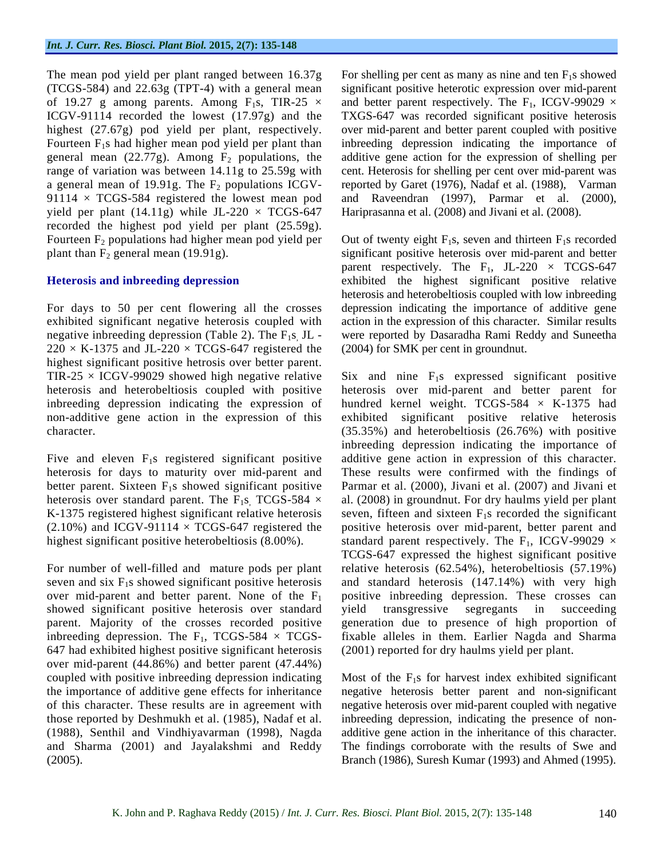The mean pod yield per plant ranged between 16.37g general mean (22.77g). Among  $F_2$  populations, the yield per plant (14.11g) while JL-220  $\times$  TCGS-647 recorded the highest pod yield per plant (25.59g).

negative inbreeding depression (Table 2). The  $F_1s$ , JL - $220 \times K-1375$  and JL-220  $\times$  TCGS-647 registered the highest significant positive hetrosis over better parent.

seven and six  $F_1$ s showed significant positive heterosis showed significant positive heterosis over standard yield transgressive segregants in succeeding 647 had exhibited highest positive significant heterosis over mid-parent (44.86%) and better parent (47.44%) (1988), Senthil and Vindhiyavarman (1998), Nagda (2005). Branch (1986), Suresh Kumar (1993) and Ahmed (1995).

(TCGS-584) and 22.63g (TPT-4) with a general mean significant positive heterotic expression over mid-parent of 19.27 g among parents. Among  $F_1s$ , TIR-25  $\times$  and better parent respectively. The  $F_1$ , ICGV-99029  $\times$ ICGV-91114 recorded the lowest (17.97g) and the TXGS-647 was recorded significant positive heterosis highest (27.67g) pod yield per plant, respectively. over mid-parent and better parent coupled with positive Fourteen  $F_1$ s had higher mean pod yield per plant than inbreeding depression indicating the importance of range of variation was between 14.11g to 25.59g with cent. Heterosis for shelling per cent over mid-parent was a general mean of 19.91g. The  $F_2$  populations ICGV- reported by Garet (1976), Nadaf et al. (1988), Varman 91114 × TCGS-584 registered the lowest mean pod and Raveendran (1997), Parmar et al. (2000), For shelling per cent as many as nine and ten  $F_1$ s showed additive gene action for the expression of shelling per Hariprasanna et al. (2008) and Jivani et al. (2008).

Fourteen  $F_2$  populations had higher mean pod yield per Out of twenty eight  $F_1$ s, seven and thirteen  $F_1$ s recorded plant than  $F_2$  general mean (19.91g). significant positive heterosis over mid-parent and better **Heterosis and inbreeding depression** exhibited the highest significant positive relative For days to 50 per cent flowering all the crosses depression indicating the importance of additive gene exhibited significant negative heterosis coupled with action in the expression of this character. Similar results parent respectively. The  $F_1$ , JL-220  $\times$  TCGS-647 heterosis and heterobeltiosis coupled with low inbreeding were reported by Dasaradha Rami Reddy and Suneetha (2004) for SMK per cent in groundnut.

TIR-25  $\times$  ICGV-99029 showed high negative relative Six and nine  $F_1s$  expressed significant positive heterosis and heterobeltiosis coupled with positive heterosis over mid-parent and better parent for inbreeding depression indicating the expression of hundred kernel weight. TCGS-584  $\times$  K-1375 had non-additive gene action in the expression of this exhibited significant positive relative heterosis character. (35.35%) and heterobeltiosis (26.76%) with positive Five and eleven  $F_1$ s registered significant positive additive gene action in expression of this character. heterosis for days to maturity over mid-parent and These results were confirmed with the findings of better parent. Sixteen F<sub>1</sub>s showed significant positive Parmar et al. (2000), Jivani et al. (2007) and Jivani et heterosis over standard parent. The  $F_1s$ , TCGS-584  $\times$  al. (2008) in groundnut. For dry haulms yield per plant K-1375 registered highest significant relative heterosis seven, fifteen and sixteen  $F_1$ s recorded the significant  $(2.10\%)$  and ICGV-91114  $\times$  TCGS-647 registered the positive heterosis over mid-parent, better parent and highest significant positive heterobeltiosis (8.00%). Standard parent respectively. The F<sub>1</sub>, ICGV-99029  $\times$ For number of well-filled and mature pods per plant relative heterosis (62.54%), heterobeltiosis (57.19%) over mid-parent and better parent. None of the  $F_1$  positive inbreeding depression. These crosses can parent. Majority of the crosses recorded positive generation due to presence of high proportion of inbreeding depression. The  $F_1$ , TCGS-584  $\times$  TCGS- fixable alleles in them. Earlier Nagda and Sharma inbreeding depression indicating the importance of TCGS-647 expressed the highest significant positive and standard heterosis (147.14%) with very high yield transgressive segregants in succeeding (2001) reported for dry haulms yield per plant.

coupled with positive inbreeding depression indicating Most of the F1s for harvest index exhibited significant the importance of additive gene effects for inheritance negative heterosis better parent and non-significant of this character. These results are in agreement with negative heterosis over mid-parent coupled with negative those reported by Deshmukh et al. (1985), Nadaf et al. inbreeding depression, indicating the presence of non and Sharma (2001) and Jayalakshmi and Reddy The findings corroborate with the results of Swe and additive gene action in the inheritance of this character.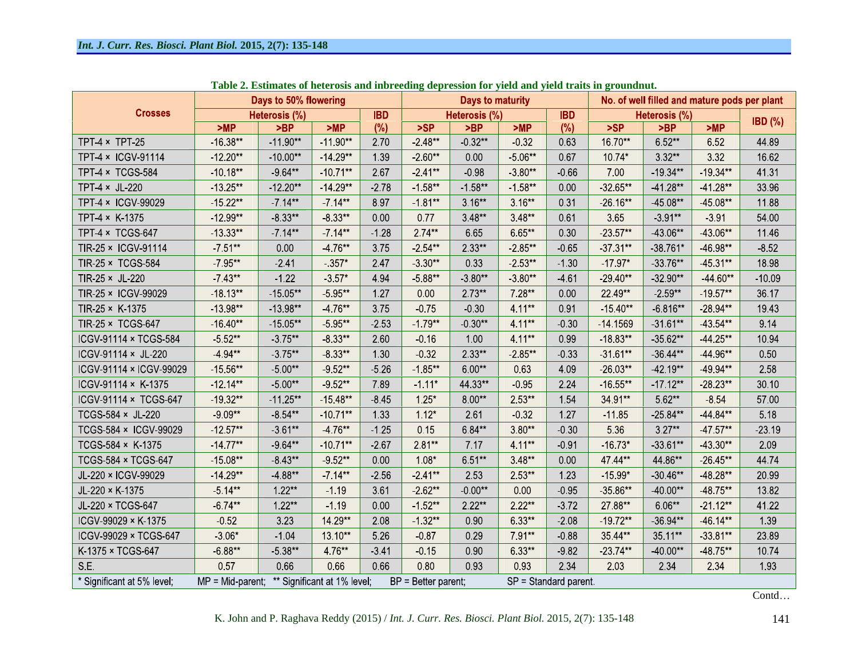|                                |                           | Days to 50% flowering |                             |            | Days to maturity      |                          |           |            | No. of well filled and mature pods per plant |               |            |           |
|--------------------------------|---------------------------|-----------------------|-----------------------------|------------|-----------------------|--------------------------|-----------|------------|----------------------------------------------|---------------|------------|-----------|
| <b>Crosses</b>                 |                           | Heterosis (%)         |                             | <b>IBD</b> |                       | Heterosis (%)            |           | <b>IBD</b> |                                              | Heterosis (%) |            |           |
|                                | >MP                       | >BP                   | >MP                         | $(\%)$     | >SP                   | >BP                      | >MP       | (%)        | >SP                                          | >BP           | >MP        | $IBD$ (%) |
| TPT-4 $\times$ TPT-25          | $-16.38**$                | $-11.90**$            | $-11.90**$                  | 2.70       | $-2.48**$             | $-0.32**$                | $-0.32$   | 0.63       | 16.70**                                      | 6.52**        | 652        | 44.89     |
| TPT-4 × ICGV-91114             | $-12.20**$                | $-10.00**$            | $-14.29**$                  | 1.39       | $-2.60**$             | 0.00                     | $-5.06**$ | 0.67       | $10.74*$                                     | $3.32**$      | 3 3 2      | 16.62     |
| TPT-4 × TCGS-584               | $-10.18**$                | $-9.64***$            | $-10.71**$                  | 267        | $-2.41**$             | $-0.98$                  | $-3.80**$ | $-0.66$    | 7.00                                         | $-19.34**$    | $-19.34**$ | 41.31     |
| TPT $4 \times$ JL-220          | $-13.25**$                | $-12.20**$            | $-14.29**$                  | $-2.78$    | $-1.58**$             | $-1.58**$                | $158**$   | 0.00       | $-3265**$                                    | $-41.28**$    | $-41.28**$ | 33.96     |
| TPT-4 × ICGV-99029             | $-15.22**$                | $-7.14**$             | $-7.14**$                   | 897        | $181**$               | $3.16**$                 | $3.16**$  | 0.31       | $-26.16**$                                   | $-45.08**$    | $-45.08**$ | 11.88     |
| TPT-4 × K-1375                 | $-12.99**$                | $-8.33**$             | $-8.33**$                   | 0.00       | 0.77                  | $3.48**$                 | $3.48**$  | 0.61       | 365                                          | $-3.91**$     | $-3.91$    | 54.00     |
| TPT-4 × TCGS-647               | $-13.33**$                | $-7.14***$            | $-7.14***$                  | $-1.28$    | $2.74**$              | 6.65                     | 6.65**    | 0.30       | $-23.57**$                                   | $-43.06**$    | $-43.06**$ | 11 46     |
| TIR-25 × ICGV-91114            | 7 51**                    | 0.00                  | -4 76**                     | 375        | $2.54**$              | $2.33**$                 | $285**$   | $-0.65$    | $37.31**$                                    | $-38.761*$    | -46.98**   | $-8.52$   |
| TIR-25 × TCGS-584              | $-7.95**$                 | 241                   | $-357*$                     | 247        | $-3.30**$             | 0.33                     | $-2.53**$ | $-1.30$    | $-17.97*$                                    | $-33.76**$    | $-45.31**$ | 18.98     |
| TIR-25 $\times$ JL-220         | $-7.43**$                 | $-1.22$               | $-3.57*$                    | 494        | $-5.88**$             | $-3.80**$                | $-3.80**$ | $-461$     | $-29.40**$                                   | $-32.90**$    | $-44.60**$ | $-10.09$  |
| TIR-25 × ICGV-99029            | $-18.13**$                | $-15.05**$            | $-5.95***$                  | 127        | 0.00                  | $2.73**$                 | 7.28**    | 0.00       | 22.49**                                      | $-2.59**$     | $-19.57**$ | 36.17     |
| TIR-25 $\times$ K-1375         | $-13.98**$                | $-13.98**$            | -4 76**                     | 3.75       | $-0.75$               | $-0.30$                  | 4.11**    | 0.91       | $-15.40**$                                   | $-6.816**$    | $-28.94**$ | 1943      |
| TIR-25 × TCGS-647              | $-16.40**$                | $-15.05**$            | $-5.95**$                   | 253        | $-179**$              | $-0.30**$                | 4.11**    | $-0.30$    | $-14.1569$                                   | $-31.61**$    | -43 54**   | 9.14      |
| <b>ICGV-91114 × TCGS-584</b>   | $-5.52**$                 | $-3.75***$            | $-8.33**$                   | 2.60       | $-0.16$               | 1.00                     | 4.11**    | 0.99       | $-18.83**$                                   | $-35.62**$    | $-44.25**$ | 10.94     |
| ICGV-91114 × JL-220            | -4 94**                   | $-3.75**$             | $-8.33***$                  | 1.30       | $-0.32$               | $2.33**$                 | $-2.85**$ | $-0.33$    | $-31.61**$                                   | $-36.44**$    | -44 96**   | 0.50      |
| <b>ICGV-91114 × ICGV-99029</b> | $-15.56**$                | $-5.00**$             | $-9.52***$                  | $-5.26$    | $-185**$              | $6.00**$                 | 0.63      | 4.09       | $-2603**$                                    | -42.19**      | -49.94**   | 2.58      |
| $ICGV.91114 \times K.1375$     | $-12.14**$                | $-5.00**$             | $-9.52**$                   | 789        | $-1.11*$              | 44.33**                  | $-0.95$   | 2 2 4      | $-16.55**$                                   | $-17.12**$    | $-28.23**$ | 30.10     |
| ICGV-91114 × TCGS-647          | $-19.32**$                | $-11.25**$            | $-15.48**$                  | 845        | $1.25*$               | $8.00**$                 | $2.53**$  | 1.54       | 34.91**                                      | 5.62**        | 854        | 57.00     |
| TCGS-584 × JL-220              | $-9.09**$                 | $-8.54***$            | $-10.71**$                  | 1 3 3      | $1.12*$               | 261                      | $-0.32$   | 1 2 7      | $-11.85$                                     | $-25.84**$    | -44.84**   | 5.18      |
| TCGS-584 × ICGV-99029          | $-12.57**$                | $-3.61**$             | -4 76**                     | $-1.25$    | 0 15                  | 6.84**                   | $3.80**$  | $-0.30$    | 5 3 6                                        | $3.27**$      | 47 57**    | 23 19     |
| TCGS-584 × K-1375              | $-14.77**$                | $-9.64**$             | $-10.71**$                  | $-2.67$    | $2.81**$              | 7.17                     | 4.11**    | $-0.91$    | $-16.73*$                                    | $-33.61**$    | $-43.30**$ | 2.09      |
| TCGS-584 × TCGS-647            | $-15.08**$                | $-8.43**$             | $-9.52***$                  | 0.00       | $1.08*$               | 6.51**                   | $3.48**$  | 0.00       | 47.44**                                      | 44.86**       | $-26.45**$ | 44.74     |
| JL-220 × ICGV-99029            | $-14.29**$                | -4 88**               | $-714**$                    | $-2.56$    | $-2.41**$             | 253                      | 2 53**    | 1 2 3      | $-15.99*$                                    | $-30.46**$    | $-48.28**$ | 20.99     |
| JL-220 × K-1375                | $-5.14**$                 | $1.22**$              | $-1.19$                     | 3.61       | $-262**$              | $-0.00**$                | 0.00      | $-0.95$    | $-35.86**$                                   | $-40.00**$    | $-48.75**$ | 13.82     |
| JL-220 × TCGS-647              | $-6.74**$                 | $1.22**$              | $-1.19$                     | 0.00       | $-1.52***$            | $2.22**$                 | $2.22**$  | $-3.72$    | 27.88**                                      | $6.06**$      | $-21.12**$ | 41.22     |
| ICGV-99029 × K-1375            | 0.52                      | 3 2 3                 | 14.29**                     | 2.08       | $-1.32**$             | 0.90                     | 6.33**    | $-2.08$    | $-19.72**$                                   | $-36.94**$    | -46.14**   | 1.39      |
| ICGV-99029 × TCGS-647          | $-3.06*$                  | $-1.04$               | 13.10**                     | 5 2 6      | $-0.87$               | 0.29                     | 791**     | $-0.88$    | 35.44**                                      | 35.11**       | $-33.81**$ | 23.89     |
| K-1375 × TCGS-647              | $-6.88**$                 | $-5.38**$             | 4 76**                      | $-3,41$    | $-0.15$               | 0.90                     | 6 33**    | $-9.82$    | $-23.74**$                                   | $-40.00**$    | -48.75**   | 10.74     |
| SE.                            | 0.57                      | 0.66                  | 0.66                        | 0.66       | 0.80                  | 0.93                     | 0.93      | 2 3 4      | 2.03                                         | 2 3 4         | 2 3 4      | 1.93      |
| * Significant at 5% level;     | $MP = Mid\text{-}parent;$ |                       | ** Significant at 1% level; |            | $BP = Better parent;$ | $SP = Standard parent$ . |           |            |                                              |               |            |           |

**Table 2. Estimates of heterosis and inbreeding depression for yield and yield traits in groundnut.**

K. John and P. Raghava Reddy (2015) / *Int. J. Curr. Res. Biosci. Plant Biol.* 2015, 2(7): 135-148 141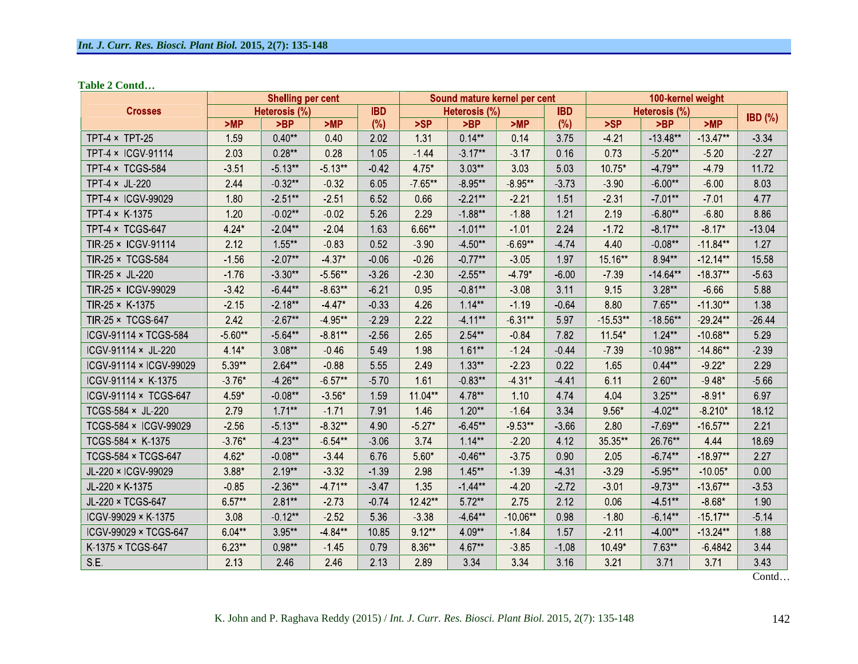**Table 2 Contd**

|                              |               | <b>Shelling per cent</b> |            |         |               | Sound mature kernel per cent |            | 100-kernel weight |               |            |            |          |
|------------------------------|---------------|--------------------------|------------|---------|---------------|------------------------------|------------|-------------------|---------------|------------|------------|----------|
| <b>Crosses</b>               | Heterosis (%) |                          | <b>IBD</b> |         | Heterosis (%) |                              | <b>IBD</b> |                   | Heterosis (%) |            | $IBD$ (%)  |          |
|                              | >MP           | >BP                      | >MP        | (%)     | >SP           | >BP                          | >MP        | $(\%)$            | >SP           | >BP        | >MP        |          |
| TPT 4 × TPT 25               | 1.59          | $0.40**$                 | 0.40       | 202     | 131           | $0.14**$                     | 0.14       | 375               | 4 2 1         | $-13.48**$ | $-13.47**$ | 3 3 4    |
| TPT-4 × ICGV-91114           | 203           | $0.28**$                 | 0.28       | 1.05    | $-144$        | $3.17**$                     | $-3.17$    | 0.16              | 0.73          | $-5.20**$  | $-5.20$    | 227      |
| TPT-4 × TCGS-584             | $-3.51$       | $-5.13**$                | $-5.13***$ | 0.42    | 4.75*         | $3.03**$                     | 3.03       | 503               | 10 75*        | $-4.79**$  | $-4.79$    | 11.72    |
| TPT-4 × JL-220               | 244           | $-0.32**$                | $-0.32$    | 6.05    | $-765**$      | $-8.95**$                    | $-8.95**$  | $-3.73$           | 390           | $-6.00**$  | $-6.00$    | 8.03     |
| TPT-4 × ICGV-99029           | 1.80          | $-2.51***$               | 251        | 6.52    | 0.66          | $221**$                      | 221        | 151               | 231           | $-7.01**$  | $-701$     | 477      |
| TPT-4 × K-1375               | 1.20          | $-0.02**$                | $-0.02$    | 5 2 6   | 2.29          | $-1.88**$                    | $-1.88$    | 121               | 2.19          | $-6.80**$  | $-6.80$    | 8.86     |
| TPT-4 × TCGS-647             | 4.24*         | $-2.04**$                | $-2.04$    | 1.63    | $6.66**$      | $-1.01**$                    | $-1.01$    | 2.24              | $-1.72$       | $-8.17**$  | $-8.17*$   | $-13.04$ |
| TIR-25 × ICGV-91114          | 2.12          | 1 55**                   | $-0.83$    | 0.52    | $-3.90$       | $-4.50**$                    | $-6.69**$  | $-474$            | 4 4 0         | $-0.08**$  | $-11.84**$ | 127      |
| TIR-25 × TCGS-584            | 156           | $-2.07**$                | $4.37*$    | $-0.06$ | 0.26          | $0.77**$                     | $-3.05$    | 197               | 15.16**       | 8.94**     | $-12.14**$ | 15.58    |
| TIR-25 × JL-220              | $-1.76$       | $-3.30**$                | $-5.56**$  | 326     | $-230$        | $2.55**$                     | $-479*$    | $-6.00$           | $-7.39$       | $-14.64**$ | $-18.37**$ | $-563$   |
| TIR-25 × ICGV-99029          | $-342$        | $-6.44**$                | $-8.63**$  | 621     | 0.95          | $-0.81**$                    | $-3.08$    | 3.11              | 9 15          | $3.28**$   | $-6.66$    | 588      |
| TIR-25 × K-1375              | 2 1 5         | $-2.18***$               | $-4.47*$   | $-0.33$ | 4 2 6         | $1.14**$                     | $-1.19$    | $-0.64$           | 8.80          | 7.65**     | $-11.30**$ | 1.38     |
| TIR-25 × TCGS-647            | 242           | $-2.67**$                | -4 95**    | 229     | 2.22          | $4.11**$                     | $-6.31**$  | 597               | $-15.53**$    | $-18.56**$ | $-29.24**$ | $-26.44$ |
| <b>ICGV-91114 × TCGS-584</b> | $-560**$      | $-564**$                 | $-8.81**$  | $-2.56$ | 265           | 2 54**                       | $-0.84$    | 782               | 11.54*        | $1.24***$  | $-10.68**$ | 5 2 9    |
| ICGV-91114 × JL-220          | 4.14*         | $3.08**$                 | $-0.46$    | 549     | 198           | $1.61**$                     | $-1.24$    | $-0.44$           | $-739$        | $-10.98**$ | $-14.86**$ | 2.39     |
| ICGV-91114 × ICGV-99029      | 5.39**        | $2.64**$                 | $-0.88$    | 5.55    | 2.49          | $1.33**$                     | $-2.23$    | 0.22              | 1.65          | $0.44**$   | $-9.22*$   | 2 2 9    |
| ICGV-91114 × K-1375          | $376*$        | -4 26**                  | $-6.57**$  | 570     | 161           | $-0.83**$                    | $431*$     | $-441$            | 6 11          | $2.60**$   | $-9.48*$   | $-566$   |
| ICGV-91114 × TCGS-647        | 4.59*         | $-0.08***$               | $-3.56*$   | 1.59    | 11.04**       | 4.78**                       | 1.10       | 474               | 4 0 4         | $3.25**$   | $-8.91*$   | 6.97     |
| TCGS-584 × JL-220            | 279           | $171**$                  | $-1.71$    | 7.91    | 146           | $1.20**$                     | $-1.64$    | 3.34              | $9.56*$       | $-4.02**$  | $-8.210*$  | 18.12    |
| TCGS-584 × ICGV-99029        | 256           | $-5.13**$                | $-8.32**$  | 4.90    | $-5.27*$      | $6.45**$                     | $9.53**$   | $-3.66$           | 2.80          | $-769**$   | $-16.57**$ | 2.21     |
| TCGS-584 × K-1375            | $-3.76*$      | $-4.23**$                | $-6.54**$  | $-3.06$ | 374           | $1.14**$                     | $-2.20$    | 4.12              | 35.35**       | 26.76**    | 4 4 4      | 18.69    |
| TCGS-584 × TCGS-647          | 4.62*         | $-0.08**$                | $-3.44$    | 6.76    | $5.60*$       | $-0.46**$                    | $-3.75$    | 0.90              | 2.05          | $-6.74**$  | $-18.97**$ | 227      |
| JL-220 × ICGV-99029          | $3.88*$       | $2.19**$                 | $-3.32$    | $-1.39$ | 298           | $1.45***$                    | $-1.39$    | $-4.31$           | $-3.29$       | $-5.95**$  | $-10.05*$  | 0.00     |
| JL-220 × K-1375              | $-0.85$       | $-2.36***$               | $-4.71**$  | 347     | 1 3 5         | $-1.44**$                    | $-4.20$    | $-2.72$           | $-3.01$       | $-9.73**$  | $-13.67**$ | $-3.53$  |
| JL-220 × TCGS-647            | 6.57**        | $2.81**$                 | $-2.73$    | 0.74    | 12.42**       | 5 72**                       | 2.75       | 2.12              | 0.06          | $-4.51***$ | $-8.68*$   | 1.90     |
| ICGV-99029 × K-1375          | 3.08          | $-0.12**$                | $-252$     | 5 3 6   | $-3.38$       | 4 64**                       | $-10.06**$ | 0.98              | $-180$        | $-6.14**$  | $-15.17**$ | $-514$   |
| ICGV-99029 × TCGS-647        | 6.04**        | $3.95**$                 | -4 84**    | 10.85   | $9.12***$     | $4.09**$                     | $-1.84$    | 1.57              | $-2.11$       | $-4.00**$  | $-13.24**$ | 1.88     |
| K-1375 × TCGS-647            | 6.23**        | $0.98**$                 | $-1.45$    | 0.79    | 8.36**        | 4.67**                       | $-3.85$    | $-1.08$           | 10.49*        | 7 63**     | $-64842$   | 3 4 4    |
| SE.                          | 2 1 3         | 2.46                     | 2.46       | 2 1 3   | 2.89          | 3 3 4                        | 3 3 4      | 3.16              | 321           | 371        | 371        | 3.43     |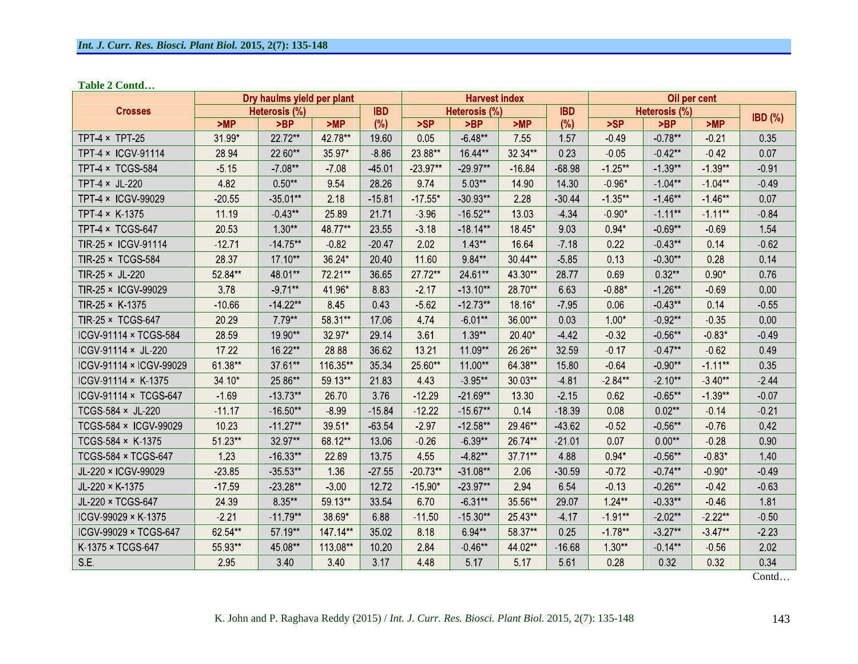**Table 2 Contd**

|                              | Dry haulms yield per plant | <b>Harvest index</b> |          |            |            | Oil per cent  |          |            |               |            |            |           |
|------------------------------|----------------------------|----------------------|----------|------------|------------|---------------|----------|------------|---------------|------------|------------|-----------|
| <b>Crosses</b>               |                            | Heterosis (%)        |          | <b>IBD</b> |            | Heterosis (%) |          | <b>IBD</b> | Heterosis (%) |            |            | $IBD$ (%) |
|                              | >MP                        | >BP                  | >MP      | $(\%)$     | >SP        | >BP           | >MP      | (%)        | >SP           | >BP        | >MP        |           |
| TPT-4 × TPT-25               | 31.99*                     | 22.72**              | 42.78**  | 19.60      | 0.05       | $-6.48**$     | 755      | 1.57       | $-0.49$       | $-0.78**$  | $-0.21$    | 0.35      |
| TPT-4 × ICGV-91114           | 28.94                      | 22.60**              | 35 97*   | $-8.86$    | 23.88**    | 16.44**       | 32.34**  | 0.23       | $-0.05$       | $-0.42**$  | $-0.42$    | 0.07      |
| TPT-4 × TCGS-584             | $-5.15$                    | $-7.08**$            | $-7.08$  | $-45.01$   | $-23.97**$ | $-29.97**$    | $-16.84$ | $-68.98$   | $125**$       | $-1.39**$  | $-1.39**$  | $-0.91$   |
| TPT 4 × JL 220               | 4.82                       | $0.50**$             | 954      | 28.26      | 974        | $5.03**$      | 14.90    | 14.30      | $-0.96*$      | $-1.04**$  | $-1.04**$  | $-0.49$   |
| TPT-4 × ICGV-99029           | $-20.55$                   | $-35.01**$           | 2.18     | $-15.81$   | $-17.55*$  | $-30.93**$    | 2 2 8    | $-30.44$   | $135**$       | $-1.46**$  | $-1.46**$  | 0.07      |
| TPT-4 × K-1375               | 11.19                      | $-0.43**$            | 25.89    | 21.71      | $-3.96$    | $-16.52**$    | 13.03    | -4.34      | $-0.90*$      | $-1.11**$  | $-1.11***$ | $-0.84$   |
| TPT-4 × TCGS-647             | 20.53                      | $1.30**$             | 48.77**  | 23.55      | $-3.18$    | $-18.14**$    | 18.45*   | 9.03       | $0.94*$       | $-0.69**$  | $-0.69$    | 1.54      |
| TIR-25 × ICGV-91114          | $-12.71$                   | $-14.75**$           | $-0.82$  | $-20.47$   | 2.02       | $1.43**$      | 16.64    | $-7.18$    | 0.22          | $-0.43**$  | 0.14       | $-0.62$   |
| TIR-25 × TCGS-584            | 28.37                      | 17.10**              | 36.24*   | 20.40      | 11.60      | 9.84**        | 30 44**  | 585        | 0.13          | $-0.30**$  | 0.28       | 0.14      |
| TIR-25 × JL-220              | 52.84**                    | 48.01**              | 72.21**  | 36.65      | 27.72**    | 24.61**       | 43 30**  | 28.77      | 0.69          | $0.32**$   | $0.90*$    | 0.76      |
| TIR-25 × ICGV-99029          | 378                        | $-9.71**$            | 41.96*   | 8.83       | $-2.17$    | $-13.10**$    | 28.70**  | 6.63       | $-0.88*$      | $-1.26**$  | $-0.69$    | 0.00      |
| TIR-25 × K-1375              | $-10.66$                   | $-14.22**$           | 8.45     | 0.43       | 562        | $-12.73**$    | 18.16*   | $-7.95$    | 0.06          | $-0.43**$  | 0.14       | $-0.55$   |
| TIR-25 × TCGS-647            | 20.29                      | $7.79**$             | 58.31**  | 17.06      | 474        | $-6.01**$     | 36.00**  | 0.03       | $1.00*$       | $-0.92**$  | $-0.35$    | 0.00      |
| <b>ICGV 91114 × TCGS-584</b> | 28.59                      | 19.90**              | 32.97*   | 29.14      | 3.61       | $1.39**$      | 20.40*   | $-442$     | $-0.32$       | $-0.56**$  | $-0.83*$   | $-0.49$   |
| $ICGV-91114 \times JL-220$   | 17.22                      | 16.22**              | 28.88    | 36.62      | 13.21      | $11.09**$     | 26.26**  | 32.59      | $-0.17$       | $-0.47**$  | $-0.62$    | 0.49      |
| ICGV-91114 × ICGV-99029      | 61.38**                    | 37.61**              | 116.35** | 35.34      | 25.60**    | 11.00**       | 64.38**  | 15.80      | $-0.64$       | $-0.90**$  | $-1.11***$ | 0 35      |
| $ICGV-91114 \times K-1375$   | 34.10*                     | 25.86**              | 59.13**  | 21.83      | 4 4 3      | $-3.95**$     | 30.03**  | $-4.81$    | 2 84**        | $-2.10**$  | $-3.40**$  | $-2.44$   |
| ICGV-91114 × TCGS-647        | $-1.69$                    | $-13.73**$           | 26.70    | 3.76       | $-12.29$   | $-21.69**$    | 13.30    | $-2.15$    | 0.62          | $-0.65**$  | $-1.39**$  | $-0.07$   |
| TCGS-584 × JL-220            | $-11.17$                   | $-16.50**$           | $-8.99$  | $-15.84$   | $-12.22$   | $-15.67**$    | 0.14     | $-18.39$   | 0.08          | $0.02**$   | $-0.14$    | $-0.21$   |
| TCGS-584 × ICGV-99029        | 10.23                      | $-11.27**$           | 39.51*   | $-63.54$   | $-2.97$    | $-12.58**$    | 29.46**  | -43.62     | $-0.52$       | $-0.56**$  | $-0.76$    | 042       |
| TCGS-584 × K-1375            | 51.23**                    | 32 97**              | 68.12**  | 13.06      | $-0.26$    | $-6.39**$     | 26.74**  | $-21.01$   | 0.07          | $0.00**$   | $-0.28$    | 0.90      |
| <b>TCGS-584 × TCGS-647</b>   | 1.23                       | $-16.33**$           | 22.89    | 1375       | 4 5 5      | $-4.82**$     | 37.71**  | 4.88       | $0.94*$       | $-0.56**$  | $-0.83*$   | 1.40      |
| JL-220 × ICGV-99029          | $-23.85$                   | $-35.53**$           | 1 3 6    | $-27.55$   | $-20.73**$ | $-31.08**$    | 206      | $-30.59$   | $-0.72$       | $-0.74**$  | $-0.90*$   | $-0.49$   |
| JL-220 × K-1375              | $-17.59$                   | $-23.28**$           | $-3.00$  | 1272       | $-15.90*$  | $-23.97**$    | 294      | 6.54       | $-0.13$       | $-0.26***$ | $-0.42$    | $-0.63$   |
| JL-220 × TCGS-647            | 24.39                      | 8.35**               | 59.13**  | 33.54      | 6.70       | $-6.31**$     | 35.56**  | 29.07      | $124**$       | $-0.33**$  | $-0.46$    | 1.81      |
| ICGV-99029 × K-1375          | 221                        | $-1179**$            | 38.69*   | 6.88       | $-11.50$   | $-15.30**$    | 25.43**  | $-4.17$    | $191**$       | $-2.02**$  | $22^{**}$  | $-0.50$   |
| ICGV-99029 × TCGS-647        | 62.54**                    | 57.19**              | 147.14** | 35.02      | 8.18       | 6.94**        | 58.37**  | 0.25       | $-1.78***$    | $-3.27**$  | $-3.47**$  | 2 2 3     |
| K-1375 × TCGS-647            | 55.93**                    | 45.08**              | 113.08** | 10.20      | 284        | $-0.46**$     | 44.02**  | $-16.68$   | $1.30**$      | $-0.14**$  | $-0.56$    | 202       |
| S.E.                         | 295                        | 3.40                 | 340      | 3.17       | 4 4 8      | 5 17          | 5 17     | 5.61       | 0.28          | 0.32       | 0 3 2      | 0.34      |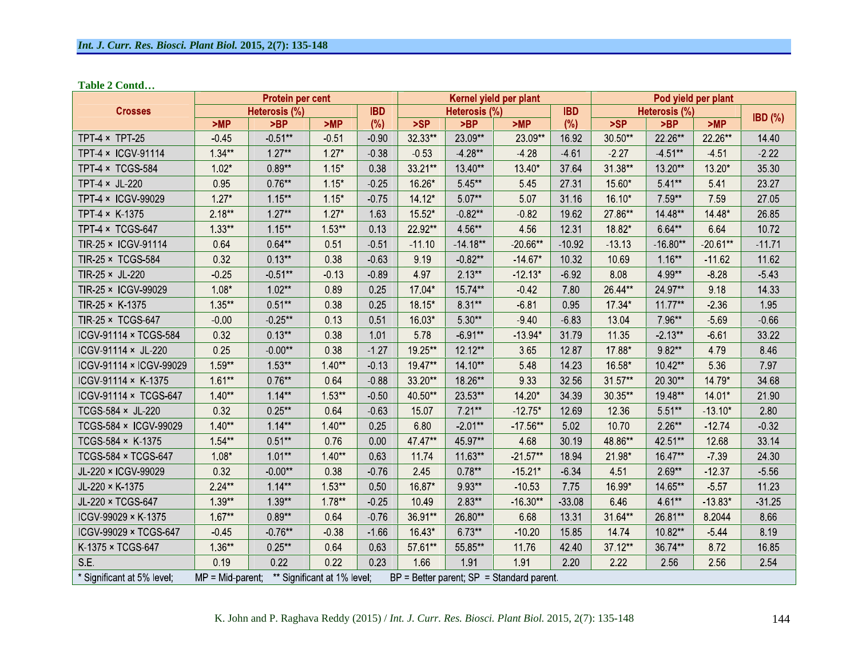**Table 2 Contd**

|                            |           | Protein per cent                                      |          |            | Kernel yield per plant |               |                                                 |            | Pod yield per plant |               |            |           |
|----------------------------|-----------|-------------------------------------------------------|----------|------------|------------------------|---------------|-------------------------------------------------|------------|---------------------|---------------|------------|-----------|
| <b>Crosses</b>             |           | Heterosis (%)                                         |          | <b>IBD</b> |                        | Heterosis (%) |                                                 | <b>IBD</b> |                     | Heterosis (%) |            | $IBD$ (%) |
|                            | >MP       | >BP                                                   | >MP      | (%)        | >SP                    | >BP           | >MP                                             | $(\%)$     | >SP                 | >BP           | >MP        |           |
| TPT $4 \times$ TPT 25      | $-0.45$   | $-0.51**$                                             | 0.51     | $-0.90$    | 32.33**                | 23.09**       | 23.09**                                         | 16.92      | 30.50**             | 22.26**       | 22.26**    | 14.40     |
| TPT-4 × ICGV-91114         | $1.34***$ | $1.27**$                                              | $1.27*$  | $-0.38$    | $-0.53$                | $-4.28**$     | -4 28                                           | $-4.61$    | $-2.27$             | $-4.51***$    | $-4.51$    | $-2.22$   |
| TPT-4 × TCGS-584           | $1.02*$   | $0.89**$                                              | $1.15*$  | 0.38       | 33.21**                | 13.40**       | 13.40*                                          | 37.64      | 31.38**             | 13.20**       | 13.20*     | 35.30     |
| TPT 4 × JL 220             | 095       | $0.76**$                                              | $1.15*$  | $-0.25$    | 16.26*                 | 5 45**        | 545                                             | 27.31      | 15.60*              | 5.41**        | 541        | 23.27     |
| TPT-4 × ICGV-99029         | $127*$    | $1.15***$                                             | $1.15*$  | $-0.75$    | 14.12*                 | $5.07**$      | 5.07                                            | 31.16      | 16.10*              | 7.59**        | 759        | 27.05     |
| TPT-4 × K-1375             | $2.18**$  | $1.27**$                                              | $1.27*$  | 163        | 15.52*                 | $-0.82**$     | $-0.82$                                         | 19.62      | 27.86**             | 14.48**       | 14.48*     | 26 85     |
| TPT-4 × TCGS-647           | $1.33**$  | $1.15***$                                             | $1.53**$ | 0.13       | 22.92**                | 4.56**        | 456                                             | 12 31      | 18.82*              | 6.64**        | 664        | 10.72     |
| TIR-25 × ICGV-91114        | 0.64      | $0.64**$                                              | 0.51     | $-0.51$    | $-11.10$               | $-14.18**$    | $-20.66**$                                      | $-10.92$   | $-13.13$            | $-16.80**$    | $-20.61**$ | $-11.71$  |
| TIR-25 × TCGS-584          | 0.32      | $0.13**$                                              | 038      | $-0.63$    | 9.19                   | $-0.82***$    | $-14.67*$                                       | 10.32      | 10.69               | $1.16**$      | $-11.62$   | 11.62     |
| TIR-25 × JL-220            | $-0.25$   | $-0.51**$                                             | $-0.13$  | $-0.89$    | 4.97                   | $2.13**$      | $12.13*$                                        | $-6.92$    | 8.08                | 4 99**        | $-8.28$    | $-543$    |
| TIR-25 × ICGV-99029        | $1.08*$   | $1.02**$                                              | 0.89     | 0.25       | 17.04*                 | 15.74**       | $-0.42$                                         | 7.80       | 26.44**             | 24.97**       | 9.18       | 14.33     |
| TIR-25 $\times$ K-1375     | $1.35**$  | $0.51**$                                              | 0.38     | 025        | 18.15*                 | $8.31**$      | $-6.81$                                         | 095        | 17 34*              | $11.77***$    | 2 3 6      | 195       |
| TIR-25 × TCGS-647          | $-0.00$   | $-0.25**$                                             | 0 1 3    | 0.51       | 16.03*                 | 5.30**        | 940                                             | $-6.83$    | 13.04               | 7.96**        | $-569$     | $-0.66$   |
| ICGV-91114 × TCGS-584      | 0.32      | $0.13**$                                              | 0.38     | 1.01       | 578                    | $-6.91**$     | $13.94*$                                        | 31.79      | 11.35               | $-2.13**$     | $-661$     | 33.22     |
| ICGV-91114 × JL-220        | 0.25      | $-0.00**$                                             | 0.38     | $-1.27$    | 19.25**                | 12.12**       | 365                                             | 12.87      | 17.88*              | $9.82**$      | 4.79       | 8.46      |
| ICGV-91114 × ICGV-99029    | $1.59**$  | $1.53**$                                              | $1.40**$ | $-0.13$    | 19.47**                | 14.10**       | 548                                             | 14.23      | 16.58*              | 10.42**       | 5 3 6      | 7.97      |
| ICGV-91114 × K-1375        | $161**$   | $0.76**$                                              | 0.64     | $-0.88$    | 33.20**                | 18.26**       | 933                                             | 32.56      | 31.57**             | 20.30**       | 14.79*     | 34.68     |
| ICGV-91114 × TCGS-647      | $1.40**$  | $114**$                                               | $1.53**$ | $-0.50$    | 40 50**                | 23.53**       | 14.20*                                          | 34 39      | 30.35**             | 19.48**       | 14.01*     | 21.90     |
| TCGS-584 × JL-220          | 0.32      | $0.25**$                                              | 0.64     | $-0.63$    | 15.07                  | $7.21**$      | $-12.75*$                                       | 12.69      | 12.36               | 5.51**        | $-13.10*$  | 2.80      |
| TCGS-584 × ICGV-99029      | $1.40**$  | $1.14**$                                              | $1.40**$ | 0.25       | 6.80                   | $-2.01**$     | $-17.56**$                                      | 502        | 10.70               | $2.26**$      | $-12.74$   | $-0.32$   |
| TCGS-584 × K-1375          | $1.54**$  | $0.51**$                                              | 076      | 0.00       | 47.47**                | 45.97**       | 468                                             | 30.19      | 48.86**             | 42.51**       | 12.68      | 33.14     |
| <b>TCGS-584 × TCGS-647</b> | $1.08*$   | $1.01**$                                              | $140**$  | 0.63       | 11.74                  | 11.63**       | $-21.57**$                                      | 18.94      | 21.98*              | 16.47**       | $-739$     | 24.30     |
| JL 220 × ICGV-99029        | 0.32      | $-0.00**$                                             | 0.38     | $-0.76$    | 245                    | $0.78**$      | $-15.21*$                                       | $-6.34$    | 4.51                | $2.69**$      | $-12.37$   | $-5.56$   |
| JL-220 × K-1375            | $2.24**$  | $1.14**$                                              | $1.53**$ | 0.50       | 16.87*                 | 9.93**        | $-10.53$                                        | 775        | 16.99*              | 14.65**       | $-5.57$    | 11.23     |
| JL-220 × TCGS-647          | $1.39**$  | 1 39**                                                | $1.78**$ | $-0.25$    | 10.49                  | $2.83**$      | $-16.30**$                                      | $-33.08$   | 646                 | 4 61**        | $-13.83*$  | $-31.25$  |
| ICGV-99029 × K-1375        | $1.67**$  | $0.89**$                                              | 0.64     | 0.76       | 36.91**                | 26.80**       | 6.68                                            | 13.31      | 31.64**             | 26.81**       | 8.2044     | 8.66      |
| ICGV-99029 × TCGS-647      | $-0.45$   | $-0.76**$                                             | $-0.38$  | $-1.66$    | 16.43*                 | $6.73**$      | $-10.20$                                        | 15.85      | 14 74               | 10.82**       | $-5.44$    | 8.19      |
| K-1375 × TCGS-647          | $1.36**$  | $0.25**$                                              | 0.64     | 063        | 57.61**                | 55.85**       | 1176                                            | 42.40      | 37 12**             | 36.74**       | 872        | 16.85     |
| SE.                        | 0.19      | 0.22                                                  | 0.22     | 0.23       | 1.66                   | 1.91          | 191                                             | 2.20       | 2.22                | 2.56          | 2.56       | 2.54      |
| * Significant at 5% level; |           | $MP = Mid\text{-}parent;$ ** Significant at 1% level; |          |            |                        |               | $BP = Better parent$ ; $SP = Standard parent$ . |            |                     |               |            |           |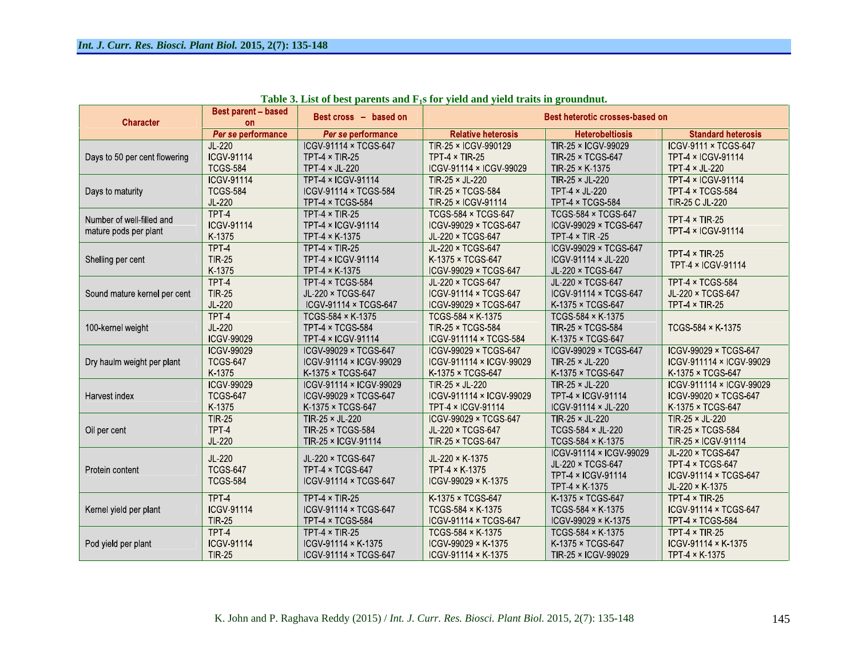| <b>Character</b>                                   | <b>Best parent - based</b><br><b>on</b>      | Best cross - based on                                                | Best heterotic crosses-based on                                          |                                                                                      |                                                                                   |  |  |  |  |
|----------------------------------------------------|----------------------------------------------|----------------------------------------------------------------------|--------------------------------------------------------------------------|--------------------------------------------------------------------------------------|-----------------------------------------------------------------------------------|--|--|--|--|
|                                                    | Per se performance                           | Per se performance                                                   | <b>Relative heterosis</b>                                                | <b>Heterobeltiosis</b>                                                               | <b>Standard heterosis</b>                                                         |  |  |  |  |
| Days to 50 per cent flowering                      | $JL-220$                                     | ICGV-91114 × TCGS-647                                                | TIR-25 × ICGV-990129                                                     | TIR-25 × ICGV-99029                                                                  | ICGV-9111 × TCGS-647                                                              |  |  |  |  |
|                                                    | <b>ICGV-91114</b>                            | TPT-4 $\times$ TIR-25                                                | TPT $4 \times$ TIR-25                                                    | TIR-25 × TCGS-647                                                                    | TPT-4 × ICGV-91114                                                                |  |  |  |  |
|                                                    | <b>TCGS-584</b>                              | TPT-4 $\times$ JL-220                                                | ICGV-91114 × ICGV-99029                                                  | TIR-25 × K-1375                                                                      | TPT 4 × JL-220                                                                    |  |  |  |  |
| Days to maturity                                   | <b>ICGV-91114</b>                            | TPT-4 × ICGV-91114                                                   | TIR-25 × JL-220                                                          | TIR-25 × JL-220                                                                      | TPT-4 × ICGV-91114                                                                |  |  |  |  |
|                                                    | <b>TCGS-584</b>                              | ICGV-91114 × TCGS-584                                                | TIR-25 × TCGS-584                                                        | TPT 4 × JL-220                                                                       | TPT 4 × TCGS-584                                                                  |  |  |  |  |
|                                                    | JL-220                                       | TPT 4 × TCGS-584                                                     | TIR-25 × ICGV-91114                                                      | TPT-4 × TCGS-584                                                                     | TIR-25 C JL-220                                                                   |  |  |  |  |
| Number of well-filled and<br>mature pods per plant | TPT-4<br><b>ICGV 91114</b><br>K-1375         | TPT-4 $\times$ TIR-25<br><b>TPT-4 × ICGV-91114</b><br>TPT-4 × K-1375 | <b>TCGS-584 × TCGS-647</b><br>ICGV-99029 × TCGS-647<br>JL-220 × TCGS-647 | <b>TCGS-584 × TCGS-647</b><br>ICGV-99029 × TCGS-647<br>TPT $4 \times$ TIR -25        | TPT $4 \times$ TIR-25<br>TPT-4 × ICGV-91114                                       |  |  |  |  |
| Shelling per cent                                  | TPT <sub>4</sub><br><b>TIR 25</b><br>K-1375  | TPT-4 $\times$ TIR-25<br><b>TPT-4 × ICGV-91114</b><br>TPT 4 × K-1375 | JL-220 × TCGS-647<br>K-1375 × TCGS-647<br>ICGV-99029 × TCGS-647          | ICGV-99029 × TCGS-647<br>ICGV-91114 × JL-220<br>JL-220 × TCGS-647                    | TPT $4 \times$ TIR-25<br>TPT-4 × ICGV-91114                                       |  |  |  |  |
| Sound mature kernel per cent                       | TPT-4                                        | TPT-4 × TCGS-584                                                     | JL-220 × TCGS-647                                                        | JL-220 × TCGS-647                                                                    | TPT 4 × TCGS-584                                                                  |  |  |  |  |
|                                                    | <b>TIR 25</b>                                | JL-220 × TCGS-647                                                    | ICGV-91114 × TCGS-647                                                    | ICGV-91114 × TCGS-647                                                                | JL-220 × TCGS-647                                                                 |  |  |  |  |
|                                                    | JL-220                                       | ICGV-91114 × TCGS-647                                                | ICGV-99029 × TCGS-647                                                    | K-1375 × TCGS-647                                                                    | <b>TPT-4 × TIR-25</b>                                                             |  |  |  |  |
| 100-kernel weight                                  | TPT-4<br>JL-220<br>ICGV-99029                | TCGS-584 × K-1375<br>TPT-4 × TCGS-584<br>TPT-4 × ICGV-91114          | TCGS 584 × K-1375<br>TIR-25 × TCGS-584<br>ICGV-911114 × TCGS-584         | TCGS 584 × K-1375<br>TIR-25 × TCGS-584<br>K-1375 × TCGS-647                          | TCGS-584 × K-1375                                                                 |  |  |  |  |
| Dry haulm weight per plant                         | ICGV-99029                                   | ICGV-99029 × TCGS-647                                                | ICGV-99029 × TCGS-647                                                    | ICGV-99029 × TCGS-647                                                                | ICGV-99029 × TCGS-647                                                             |  |  |  |  |
|                                                    | <b>TCGS-647</b>                              | ICGV-91114 × ICGV-99029                                              | ICGV-911114 × ICGV-99029                                                 | TIR-25 × JL-220                                                                      | ICGV-911114 × ICGV-99029                                                          |  |  |  |  |
|                                                    | K-1375                                       | K-1375 × TCGS-647                                                    | K-1375 × TCGS-647                                                        | K-1375 × TCGS-647                                                                    | K-1375 × TCGS-647                                                                 |  |  |  |  |
| Harvest index                                      | <b>ICGV-99029</b>                            | ICGV-91114 × ICGV-99029                                              | TIR-25 × JL-220                                                          | TIR-25 × JL-220                                                                      | ICGV-911114 × ICGV-99029                                                          |  |  |  |  |
|                                                    | <b>TCGS-647</b>                              | ICGV-99029 × TCGS-647                                                | ICGV-911114 × ICGV-99029                                                 | TPT-4 × ICGV-91114                                                                   | ICGV-99020 × TCGS-647                                                             |  |  |  |  |
|                                                    | K-1375                                       | K-1375 × TCGS-647                                                    | TPT-4 × ICGV-91114                                                       | ICGV-91114 × JL-220                                                                  | K-1375 × TCGS-647                                                                 |  |  |  |  |
| Oil per cent                                       | <b>TIR-25</b>                                | TIR-25 × JL-220                                                      | ICGV-99029 × TCGS-647                                                    | TIR-25 × JL-220                                                                      | TIR-25 × JL-220                                                                   |  |  |  |  |
|                                                    | TPT-4                                        | TIR-25 × TCGS-584                                                    | JL-220 × TCGS-647                                                        | TCGS 584 × JL-220                                                                    | TIR-25 × TCGS-584                                                                 |  |  |  |  |
|                                                    | JL-220                                       | TIR-25 × ICGV-91114                                                  | TIR-25 × TCGS-647                                                        | TCGS-584 × K-1375                                                                    | TIR-25 × ICGV-91114                                                               |  |  |  |  |
| Protein content                                    | JL-220<br><b>TCGS-647</b><br><b>TCGS-584</b> | JL-220 × TCGS-647<br>TPT 4 × TCGS-647<br>ICGV-91114 × TCGS-647       | JL-220 × K-1375<br>TPT 4 × K-1375<br>$ICGV-99029 \times K-1375$          | ICGV-91114 × ICGV-99029<br>JL-220 × TCGS-647<br>TPT-4 × ICGV-91114<br>TPT 4 × K-1375 | JL-220 × TCGS-647<br>TPT 4 × TCGS-647<br>ICGV-91114 × TCGS-647<br>JL-220 × K-1375 |  |  |  |  |
| Kernel yield per plant                             | TPT <sub>4</sub>                             | TPT $4 \times$ TIR-25                                                | K-1375 × TCGS-647                                                        | K-1375 × TCGS-647                                                                    | TPT $4 \times$ TIR-25                                                             |  |  |  |  |
|                                                    | ICGV-91114                                   | ICGV-91114 × TCGS-647                                                | TCGS-584 × K-1375                                                        | TCGS-584 × K-1375                                                                    | ICGV-91114 × TCGS-647                                                             |  |  |  |  |
|                                                    | <b>TIR-25</b>                                | TPT-4 × TCGS-584                                                     | ICGV-91114 × TCGS-647                                                    | ICGV-99029 × K-1375                                                                  | TPT-4 × TCGS-584                                                                  |  |  |  |  |
| Pod yield per plant                                | TPT <sub>4</sub>                             | TPT-4 $\times$ TIR-25                                                | TCGS-584 × K-1375                                                        | TCGS-584 × K-1375                                                                    | TPT $4 \times$ TIR-25                                                             |  |  |  |  |
|                                                    | ICGV-91114                                   | ICGV-91114 × K-1375                                                  | ICGV-99029 × K-1375                                                      | K-1375 × TCGS-647                                                                    | ICGV-91114 × K-1375                                                               |  |  |  |  |
|                                                    | <b>TIR 25</b>                                | ICGV-91114 × TCGS-647                                                | ICGV-91114 × K-1375                                                      | TIR-25 × ICGV-99029                                                                  | TPT 4 × K 1375                                                                    |  |  |  |  |

Table 3. List of best parents and  $F_1s$  for yield and yield traits in groundnut.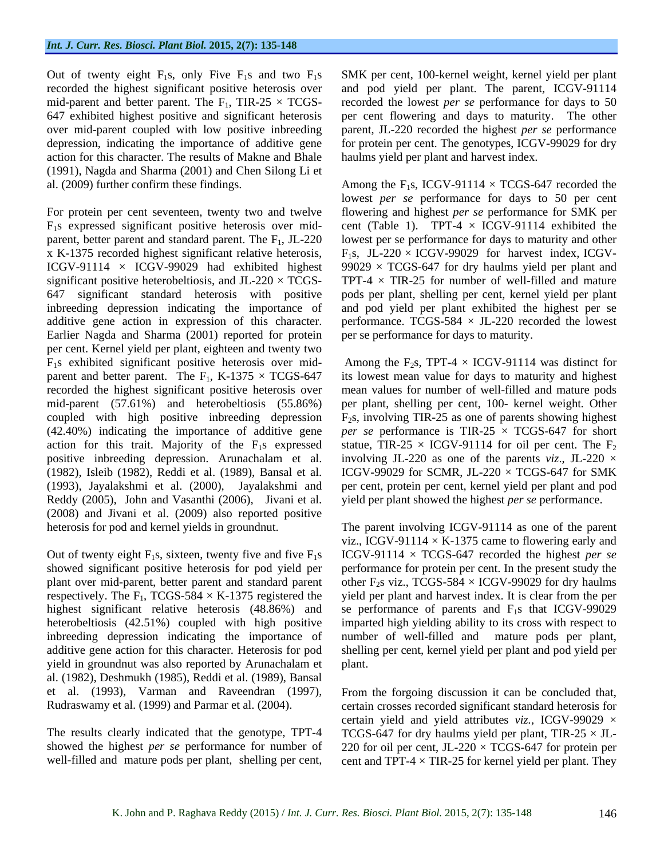Out of twenty eight  $F_1s$ , only Five  $F_1s$  and two  $F_1s$ recorded the highest significant positive heterosis over mid-parent and better parent. The  $F_1$ , TIR-25  $\times$  TCGSaction for this character. The results of Makne and Bhale (1991), Nagda and Sharma (2001) and Chen Silong Li et

significant positive heterobeltiosis, and  $JL-220 \times TCGS$ additive gene action in expression of this character. Earlier Nagda and Sharma (2001) reported for protein per cent. Kernel yield per plant, eighteen and twenty two (1993), Jayalakshmi et al. (2000), Jayalakshmi and Reddy (2005), John and Vasanthi (2006), Jivani et al. (2008) and Jivani et al. (2009) also reported positive

plant over mid-parent, better parent and standard parent inbreeding depression indicating the importance of number of well-filled and mature pods per plant, yield in groundnut was also reported by Arunachalam et al. (1982), Deshmukh (1985), Reddi et al. (1989), Bansal et al. (1993), Varman and Raveendran (1997), From the forgoing discussion it can be concluded that,

647 exhibited highest positive and significant heterosis per cent flowering and days to maturity. The other over mid-parent coupled with low positive inbreeding parent, JL-220 recorded the highest *per se* performance depression, indicating the importance of additive gene for protein per cent. The genotypes, ICGV-99029 for dry SMK per cent, 100-kernel weight, kernel yield per plant and pod yield per plant. The parent, ICGV-91114 recorded the lowest *per se* performance for days to 50 haulms yield per plant and harvest index.

al. (2009) further confirm these findings. Among the  $F_1s$ , ICGV-91114  $\times$  TCGS-647 recorded the For protein per cent seventeen, twenty two and twelve flowering and highest *per se* performance for SMK per  $F_1$ s expressed significant positive heterosis over mid- cent (Table 1). TPT-4  $\times$  ICGV-91114 exhibited the parent, better parent and standard parent. The  $F_1$ , JL-220 lowest per se performance for days to maturity and other x K-1375 recorded highest significant relative heterosis,  $F_1s$ , JL-220  $\times$  ICGV-99029 for harvest index, ICGV-ICGV-91114  $\times$  ICGV-99029 had exhibited highest 99029  $\times$  TCGS-647 for dry haulms yield per plant and 647 significant standard heterosis with positive pods per plant, shelling per cent, kernel yield per plant inbreeding depression indicating the importance of and pod yield per plant exhibited the highest per se lowest *per se* performance for days to 50 per cent TPT-4  $\times$  TIR-25 for number of well-filled and mature performance. TCGS-584  $\times$  JL-220 recorded the lowest per se performance for days to maturity.

 $F_1$ s exhibited significant positive heterosis over mid-<br>Among the  $F_2$ s, TPT-4 × ICGV-91114 was distinct for parent and better parent. The  $F_1$ , K-1375  $\times$  TCGS-647 its lowest mean value for days to maturity and highest recorded the highest significant positive heterosis over mean values for number of well-filled and mature pods mid-parent (57.61%) and heterobeltiosis (55.86%) per plant, shelling per cent, 100- kernel weight*.* Other coupled with high positive inbreeding depression  $F_2$ s, involving TIR-25 as one of parents showing highest  $(42.40%)$  indicating the importance of additive gene *per se* performance is TIR-25  $\times$  TCGS-647 for short action for this trait. Majority of the  $F_1s$  expressed statue, TIR-25  $\times$  ICGV-91114 for oil per cent. The  $F_2$ positive inbreeding depression. Arunachalam et al. involving JL-220 as one of the parents *viz*., JL-220 × (1982), Isleib (1982), Reddi et al. (1989), Bansal et al. ICGV-99029 for SCMR, JL-220  $\times$  TCGS-647 for SMK per cent, protein per cent, kernel yield per plant and pod yield per plant showed the highest *per se* performance.

heterosis for pod and kernel yields in groundnut. The parent involving ICGV-91114 as one of the parent Out of twenty eight  $F_1s$ , sixteen, twenty five and five  $F_1s$  ICGV-91114  $\times$  TCGS-647 recorded the highest *per se* showed significant positive heterosis for pod yield per performance for protein per cent. In the present study the respectively. The  $F_1$ , TCGS-584  $\times$  K-1375 registered the yield per plant and harvest index. It is clear from the per highest significant relative heterosis (48.86%) and se performance of parents and F<sub>1</sub>s that ICGV-99029 heterobeltiosis (42.51%) coupled with high positive imparted high yielding ability to its cross with respect to additive gene action for this character. Heterosis for pod shelling per cent, kernel yield per plant and pod yield per viz., ICGV-91114  $\times$  K-1375 came to flowering early and other F<sub>2</sub>s viz., TCGS-584  $\times$  ICGV-99029 for dry haulms number of well-filled and

Rudraswamy et al. (1999) and Parmar et al. (2004). certain crosses recorded significant standard heterosis for The results clearly indicated that the genotype,  $TPT-4$   $TCGS-647$  for dry haulms yield per plant,  $TIR-25 \times JL$ showed the highest *per* se performance for number of  $220$  for oil per cent, JL-220  $\times$  TCGS-647 for protein per well-filled and mature pods per plant, shelling per cent, cent and TPT-4  $\times$  TIR-25 for kernel yield per plant. They plant.<br>From the forgoing discussion it can be concluded that, certain yield and yield attributes *viz.,* ICGV-99029 ×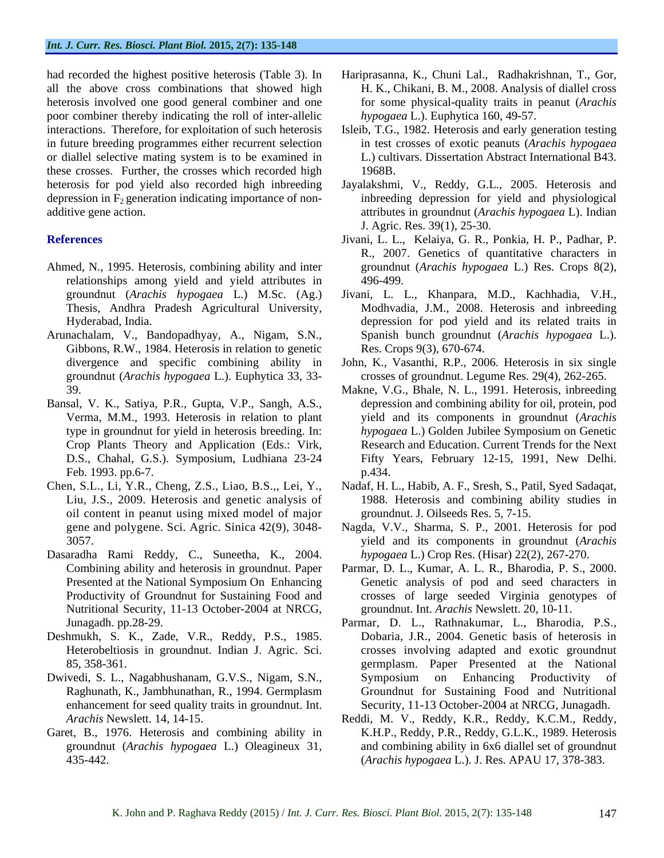all the above cross combinations that showed high H. K., Chikani, B. M., 2008. Analysis of diallel cross heterosis involved one good general combiner and one poor combiner thereby indicating the roll of inter-allelic in future breeding programmes either recurrent selection or diallel selective mating system is to be examined in these crosses. Further, the crosses which recorded high depression in  $F_2$  generation indicating importance of non-

- Ahmed, N., 1995. Heterosis, combining ability and inter relationships among yield and yield attributes in
- Gibbons, R.W., 1984. Heterosis in relation to genetic groundnut (*Arachis hypogaea* L.). Euphytica 33, 33-
- Bansal, V. K., Satiya, P.R., Gupta, V.P., Sangh, A.S., Crop Plants Theory and Application (Eds.: Virk, Feb. 1993. pp.6-7. p.434.
- oil content in peanut using mixed model of major
- Dasaradha Rami Reddy, C., Suneetha, K., 2004. Nutritional Security, 11-13 October-2004 at NRCG,
- Deshmukh, S. K., Zade, V.R., Reddy, P.S., 1985.
- enhancement for seed quality traits in groundnut. Int.
- Garet, B., 1976. Heterosis and combining ability in
- had recorded the highest positive heterosis (Table 3). In Hariprasanna, K., Chuni Lal., Radhakrishnan, T., Gor,<br>all the above cross combinations that showed high H. K., Chikani, B. M., 2008. Analysis of diallel cross for some physical-quality traits in peanut (*Arachis hypogaea* L.). Euphytica 160, 49-57.
- interactions. Therefore, for exploitation of such heterosis Isleib, T.G., 1982. Heterosis and early generation testing in test crosses of exotic peanuts (*Arachis hypogaea* L.) cultivars. Dissertation Abstract International B43. 1968B.
- heterosis for pod yield also recorded high inbreeding Jayalakshmi, V., Reddy, G.L., 2005. Heterosis and additive gene action. attributes in groundnut (*Arachis hypogaea* L). Indian inbreeding depression for yield and physiological J. Agric. Res. 39(1), 25-30.
- **References** Jivani, L. L., Kelaiya, G. R., Ponkia, H. P., Padhar, P. R., 2007. Genetics of quantitative characters in groundnut (*Arachis hypogaea* L.) Res. Crops 8(2), 496-499.
- groundnut (*Arachis hypogaea* L.) M.Sc. (Ag.) Jivani, L. L., Khanpara, M.D., Kachhadia, V.H., Thesis, Andhra Pradesh Agricultural University,Hyderabad, India. depression for pod yield and its related traits in Arunachalam, V., Bandopadhyay, A., Nigam, S.N., Spanish bunch groundnut (*Arachis hypogaea* L.). Modhvadia, J.M., 2008. Heterosis and inbreeding Res. Crops 9(3), 670-674.
	- divergence and specific combining ability in John, K., Vasanthi, R.P., 2006. Heterosis in six single crosses of groundnut. Legume Res. 29(4), 262-265.
	- 39. Makne, V.G., Bhale, N. L., 1991. Heterosis, inbreeding Verma, M.M., 1993. Heterosis in relation to plant yield and its components in groundnut (*Arachis*  type in groundnut for yield in heterosis breeding. In: *hypogaea* L.) Golden Jubilee Symposium on Genetic D.S., Chahal, G.S.). Symposium, Ludhiana 23-24 Fifty Years, February 12-15, 1991, New Delhi. depression and combining ability for oil, protein, pod Research and Education. Current Trends for the Next p.434.
- Chen, S.L., Li, Y.R., Cheng, Z.S., Liao, B.S.,, Lei, Y., Nadaf, H. L., Habib, A. F., Sresh, S., Patil, Syed Sadaqat, Liu, J.S., 2009. Heterosis and genetic analysis of 1988. Heterosis and combining ability studies in groundnut. J. Oilseeds Res. 5, 7-15.
	- gene and polygene. Sci. Agric. Sinica 42(9), 3048- Nagda, V.V., Sharma, S. P., 2001. Heterosis for pod 3057. yield and its components in groundnut (*Arachis hypogaea* L.) Crop Res. (Hisar) 22(2), 267-270.
	- Combining ability and heterosis in groundnut. Paper Parmar, D. L., Kumar, A. L. R., Bharodia, P. S., 2000. Presented at the National Symposium On Enhancing Genetic analysis of pod and seed characters in Productivity of Groundnut for Sustaining Food and crosses of large seeded Virginia genotypes of groundnut. Int. *Arachis* Newslett. 20, 10-11.
- Junagadh. pp.28-29. Parmar, D. L., Rathnakumar, L., Bharodia, P.S., Heterobeltiosis in groundnut. Indian J. Agric. Sci. crosses involving adapted and exotic groundnut 85, 358-361. germplasm. Paper Presented at the National Dwivedi, S. L., Nagabhushanam, G.V.S., Nigam, S.N., Raghunath, K., Jambhunathan, R., 1994. Germplasm Groundnut for Sustaining Food and Nutritional Dobaria, J.R., 2004. Genetic basis of heterosis in Symposium on Enhancing Productivity of Security, 11-13 October-2004 at NRCG, Junagadh.
	- *Arachis* Newslett. 14, 14-15. Reddi, M. V., Reddy, K.R., Reddy, K.C.M., Reddy, groundnut (*Arachis hypogaea* L.) Oleagineux 31, and combining ability in 6x6 diallel set of groundnut 435-442. (*Arachis hypogaea* L.). J. Res. APAU 17, 378-383.K.H.P., Reddy, P.R., Reddy, G.L.K., 1989. Heterosis